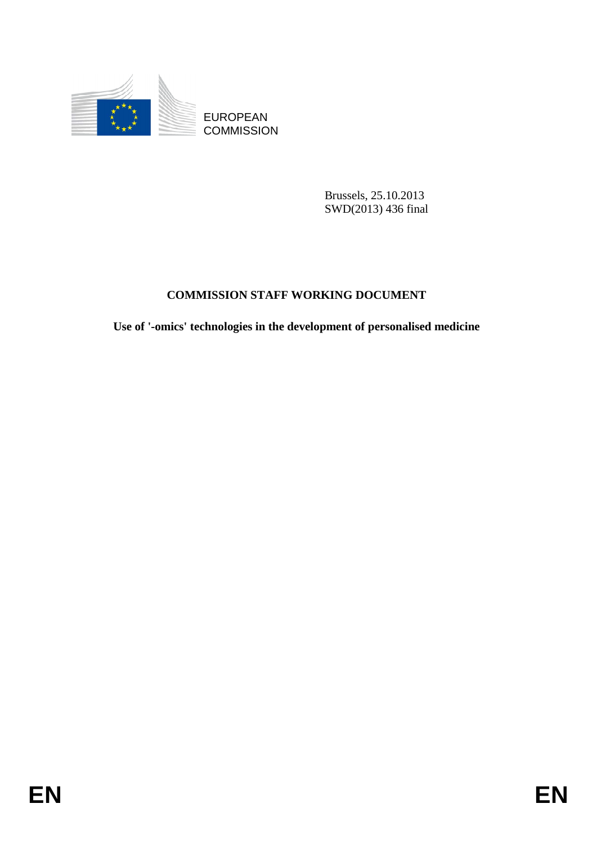

EUROPEAN **COMMISSION** 

> Brussels, 25.10.2013 SWD(2013) 436 final

## **COMMISSION STAFF WORKING DOCUMENT**

**Use of '-omics' technologies in the development of personalised medicine**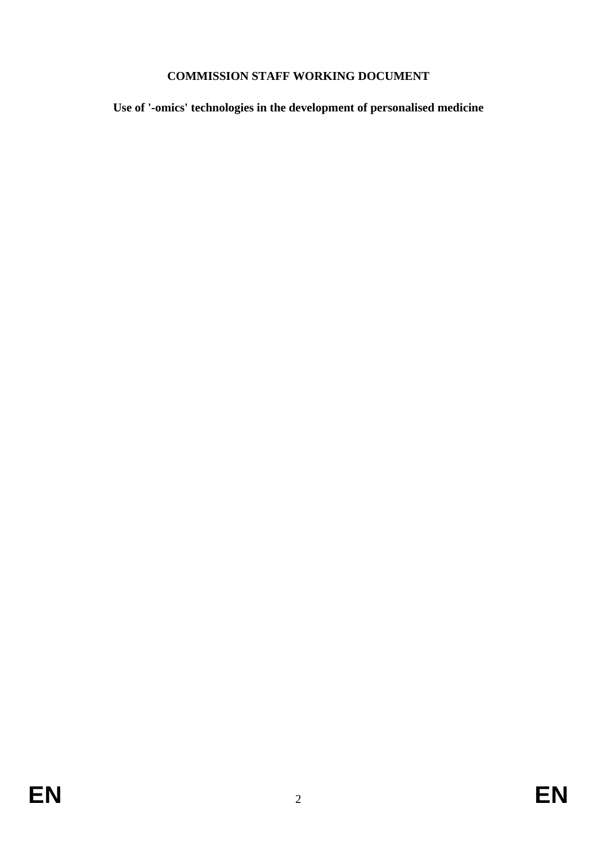## **COMMISSION STAFF WORKING DOCUMENT**

**Use of '-omics' technologies in the development of personalised medicine**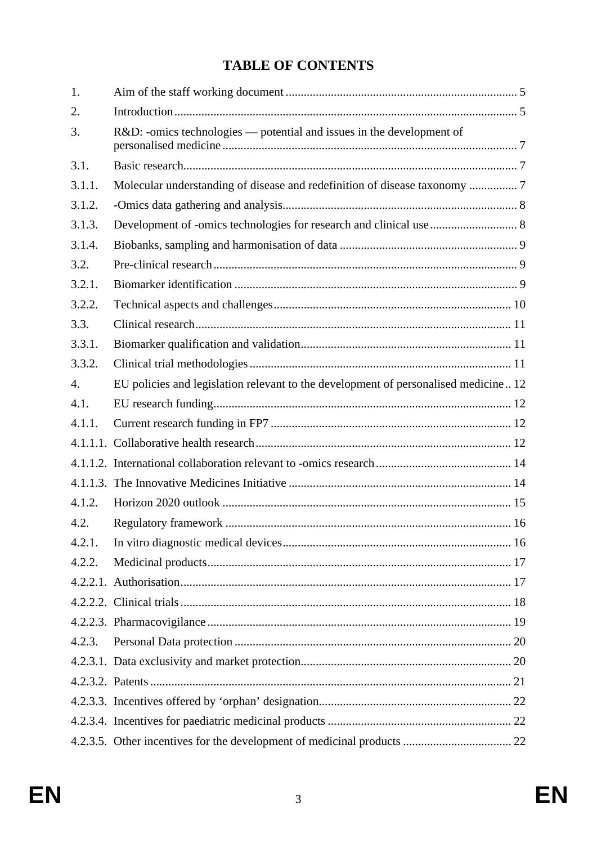# **TABLE OF CONTENTS**

| 1.               |                                                                                     |  |
|------------------|-------------------------------------------------------------------------------------|--|
| 2.               |                                                                                     |  |
| 3.               | R&D: -omics technologies — potential and issues in the development of               |  |
| 3.1.             |                                                                                     |  |
| 3.1.1.           | Molecular understanding of disease and redefinition of disease taxonomy 7           |  |
| 3.1.2.           |                                                                                     |  |
| 3.1.3.           |                                                                                     |  |
| 3.1.4.           |                                                                                     |  |
| 3.2.             |                                                                                     |  |
| 3.2.1.           |                                                                                     |  |
| 3.2.2.           |                                                                                     |  |
| 3.3.             |                                                                                     |  |
| 3.3.1.           |                                                                                     |  |
| 3.3.2.           |                                                                                     |  |
| $\overline{4}$ . | EU policies and legislation relevant to the development of personalised medicine 12 |  |
| 4.1.             |                                                                                     |  |
| 4.1.1.           |                                                                                     |  |
|                  |                                                                                     |  |
|                  |                                                                                     |  |
|                  |                                                                                     |  |
| 4.1.2.           |                                                                                     |  |
| 4.2.             |                                                                                     |  |
| 4.2.1.           |                                                                                     |  |
| 4.2.2.           |                                                                                     |  |
|                  |                                                                                     |  |
|                  |                                                                                     |  |
|                  |                                                                                     |  |
| 4.2.3.           |                                                                                     |  |
|                  |                                                                                     |  |
|                  |                                                                                     |  |
|                  |                                                                                     |  |
|                  |                                                                                     |  |
|                  |                                                                                     |  |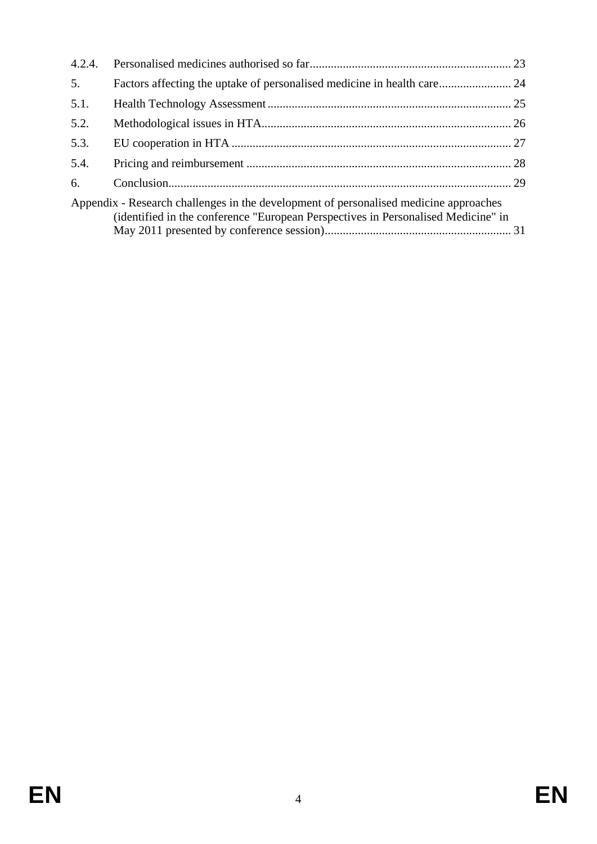| 4.2.4. |                                                                                                                                                                            |  |
|--------|----------------------------------------------------------------------------------------------------------------------------------------------------------------------------|--|
| 5.     | Factors affecting the uptake of personalised medicine in health care 24                                                                                                    |  |
| 5.1.   |                                                                                                                                                                            |  |
| 5.2.   |                                                                                                                                                                            |  |
| 5.3.   |                                                                                                                                                                            |  |
| 5.4.   |                                                                                                                                                                            |  |
| 6.     |                                                                                                                                                                            |  |
|        | Appendix - Research challenges in the development of personalised medicine approaches<br>(identified in the conference "European Perspectives in Personalised Medicine" in |  |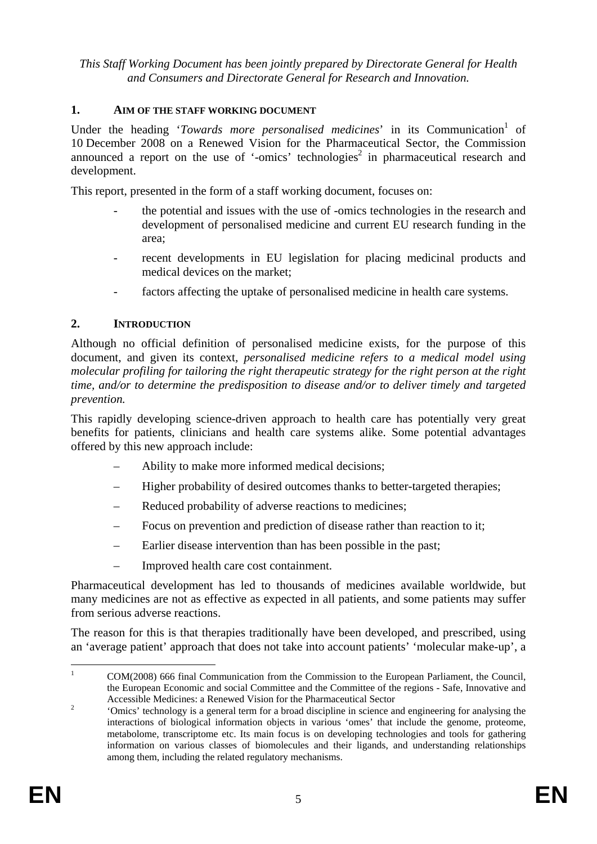*This Staff Working Document has been jointly prepared by Directorate General for Health and Consumers and Directorate General for Research and Innovation.* 

#### <span id="page-4-0"></span>**1. AIM OF THE STAFF WORKING DOCUMENT**

Under the heading '*Towards more personalised medicines*' in its Communication<sup>1</sup> of 10 December 2008 on a Renewed Vision for the Pharmaceutical Sector, the Commission announced a report on the use of '-omics' technologies<sup>2</sup> in pharmaceutical research and development.

This report, presented in the form of a staff working document, focuses on:

- the potential and issues with the use of -omics technologies in the research and development of personalised medicine and current EU research funding in the area;
- recent developments in EU legislation for placing medicinal products and medical devices on the market;
- factors affecting the uptake of personalised medicine in health care systems.

#### <span id="page-4-1"></span>**2. INTRODUCTION**

Although no official definition of personalised medicine exists, for the purpose of this document, and given its context*, personalised medicine refers to a medical model using molecular profiling for tailoring the right therapeutic strategy for the right person at the right time, and/or to determine the predisposition to disease and/or to deliver timely and targeted prevention.* 

This rapidly developing science-driven approach to health care has potentially very great benefits for patients, clinicians and health care systems alike. Some potential advantages offered by this new approach include:

- Ability to make more informed medical decisions;
- Higher probability of desired outcomes thanks to better-targeted therapies;
- Reduced probability of adverse reactions to medicines;
- Focus on prevention and prediction of disease rather than reaction to it;
- Earlier disease intervention than has been possible in the past;
- Improved health care cost containment.

Pharmaceutical development has led to thousands of medicines available worldwide, but many medicines are not as effective as expected in all patients, and some patients may suffer from serious adverse reactions.

The reason for this is that therapies traditionally have been developed, and prescribed, using an 'average patient' approach that does not take into account patients' 'molecular make-up', a

 $\frac{1}{1}$  COM(2008) 666 final Communication from the Commission to the European Parliament, the Council, the European Economic and social Committee and the Committee of the regions - Safe, Innovative and Accessible Medicines: a Renewed Vision for the Pharmaceutical Sector 2

 <sup>&#</sup>x27;Omics' technology is a general term for a broad discipline in science and engineering for analysing the interactions of biological information objects in various 'omes' that include the genome, proteome, metabolome, transcriptome etc. Its main focus is on developing technologies and tools for gathering information on various classes of biomolecules and their ligands, and understanding relationships among them, including the related regulatory mechanisms.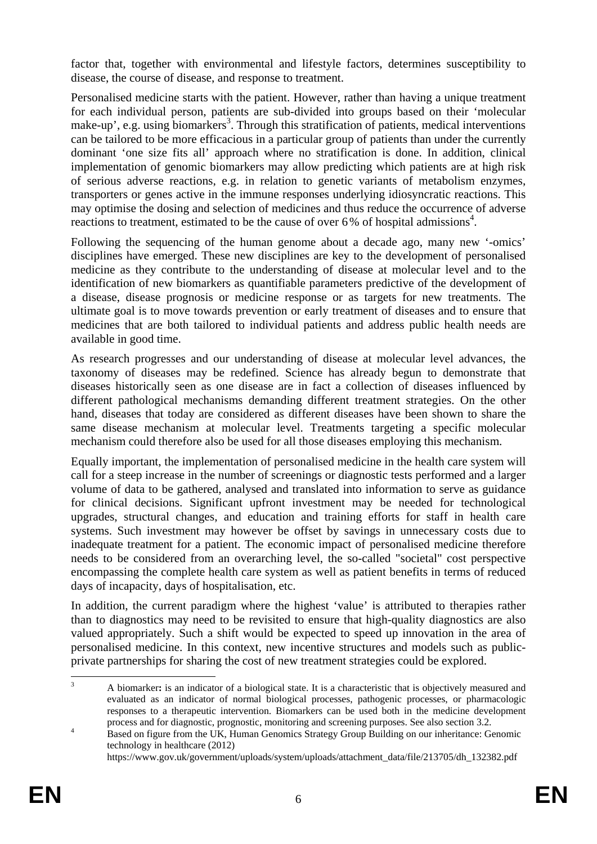factor that, together with environmental and lifestyle factors, determines susceptibility to disease, the course of disease, and response to treatment.

Personalised medicine starts with the patient. However, rather than having a unique treatment for each individual person, patients are sub-divided into groups based on their 'molecular make-up', e.g. using biomarkers<sup>3</sup>. Through this stratification of patients, medical interventions can be tailored to be more efficacious in a particular group of patients than under the currently dominant 'one size fits all' approach where no stratification is done. In addition, clinical implementation of genomic biomarkers may allow predicting which patients are at high risk of serious adverse reactions, e.g. in relation to genetic variants of metabolism enzymes, transporters or genes active in the immune responses underlying idiosyncratic reactions. This may optimise the dosing and selection of medicines and thus reduce the occurrence of adverse reactions to treatment, estimated to be the cause of over  $6\%$  of hospital admissions<sup>4</sup>.

Following the sequencing of the human genome about a decade ago, many new '-omics' disciplines have emerged. These new disciplines are key to the development of personalised medicine as they contribute to the understanding of disease at molecular level and to the identification of new biomarkers as quantifiable parameters predictive of the development of a disease, disease prognosis or medicine response or as targets for new treatments. The ultimate goal is to move towards prevention or early treatment of diseases and to ensure that medicines that are both tailored to individual patients and address public health needs are available in good time.

As research progresses and our understanding of disease at molecular level advances, the taxonomy of diseases may be redefined. Science has already begun to demonstrate that diseases historically seen as one disease are in fact a collection of diseases influenced by different pathological mechanisms demanding different treatment strategies. On the other hand, diseases that today are considered as different diseases have been shown to share the same disease mechanism at molecular level. Treatments targeting a specific molecular mechanism could therefore also be used for all those diseases employing this mechanism.

Equally important, the implementation of personalised medicine in the health care system will call for a steep increase in the number of screenings or diagnostic tests performed and a larger volume of data to be gathered, analysed and translated into information to serve as guidance for clinical decisions. Significant upfront investment may be needed for technological upgrades, structural changes, and education and training efforts for staff in health care systems. Such investment may however be offset by savings in unnecessary costs due to inadequate treatment for a patient. The economic impact of personalised medicine therefore needs to be considered from an overarching level, the so-called "societal" cost perspective encompassing the complete health care system as well as patient benefits in terms of reduced days of incapacity, days of hospitalisation, etc.

In addition, the current paradigm where the highest 'value' is attributed to therapies rather than to diagnostics may need to be revisited to ensure that high-quality diagnostics are also valued appropriately. Such a shift would be expected to speed up innovation in the area of personalised medicine. In this context, new incentive structures and models such as publicprivate partnerships for sharing the cost of new treatment strategies could be explored.

<sup>1</sup> 3 A biomarker**:** is an indicator of a biological state. It is a characteristic that is objectively measured and evaluated as an indicator of normal biological processes, pathogenic processes, or pharmacologic responses to a therapeutic intervention. Biomarkers can be used both in the medicine development process and for diagnostic, prognostic, monitoring and screening purposes. See also section 3.2.

Based on figure from the UK, Human Genomics Strategy Group Building on our inheritance: Genomic technology in healthcare (2012)

https://www.gov.uk/government/uploads/system/uploads/attachment\_data/file/213705/dh\_132382.pdf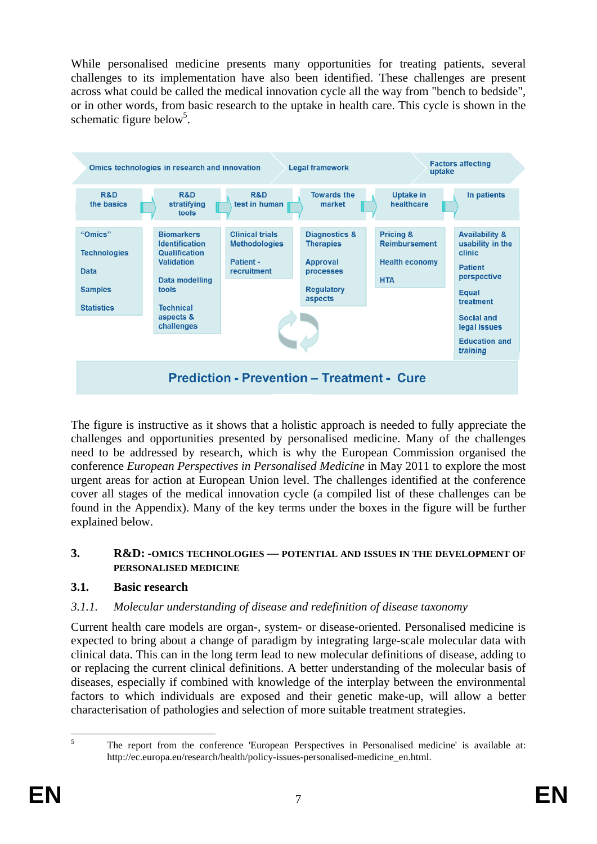While personalised medicine presents many opportunities for treating patients, several challenges to its implementation have also been identified. These challenges are present across what could be called the medical innovation cycle all the way from "bench to bedside", or in other words, from basic research to the uptake in health care. This cycle is shown in the schematic figure below<sup>5</sup>.



The figure is instructive as it shows that a holistic approach is needed to fully appreciate the challenges and opportunities presented by personalised medicine. Many of the challenges need to be addressed by research, which is why the European Commission organised the conference *European Perspectives in Personalised Medicine* in May 2011 to explore the most urgent areas for action at European Union level. The challenges identified at the conference cover all stages of the medical innovation cycle (a compiled list of these challenges can be found in the Appendix). Many of the key terms under the boxes in the figure will be further explained below.

#### <span id="page-6-0"></span>**3. R&D: -OMICS TECHNOLOGIES — POTENTIAL AND ISSUES IN THE DEVELOPMENT OF PERSONALISED MEDICINE**

#### <span id="page-6-1"></span>**3.1. Basic research**

## <span id="page-6-2"></span>*3.1.1. Molecular understanding of disease and redefinition of disease taxonomy*

Current health care models are organ-, system- or disease-oriented. Personalised medicine is expected to bring about a change of paradigm by integrating large-scale molecular data with clinical data. This can in the long term lead to new molecular definitions of disease, adding to or replacing the current clinical definitions. A better understanding of the molecular basis of diseases, especially if combined with knowledge of the interplay between the environmental factors to which individuals are exposed and their genetic make-up, will allow a better characterisation of pathologies and selection of more suitable treatment strategies.

 $\frac{1}{5}$ 

The report from the conference 'European Perspectives in Personalised medicine' is available at: http://ec.europa.eu/research/health/policy-issues-personalised-medicine\_en.html.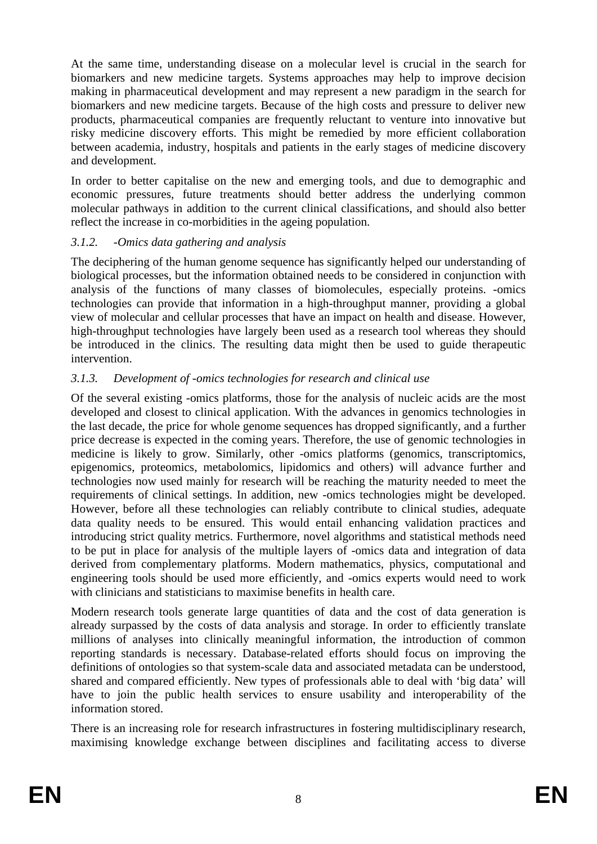At the same time, understanding disease on a molecular level is crucial in the search for biomarkers and new medicine targets. Systems approaches may help to improve decision making in pharmaceutical development and may represent a new paradigm in the search for biomarkers and new medicine targets. Because of the high costs and pressure to deliver new products, pharmaceutical companies are frequently reluctant to venture into innovative but risky medicine discovery efforts. This might be remedied by more efficient collaboration between academia, industry, hospitals and patients in the early stages of medicine discovery and development.

In order to better capitalise on the new and emerging tools, and due to demographic and economic pressures, future treatments should better address the underlying common molecular pathways in addition to the current clinical classifications, and should also better reflect the increase in co-morbidities in the ageing population.

#### <span id="page-7-0"></span>*3.1.2. -Omics data gathering and analysis*

The deciphering of the human genome sequence has significantly helped our understanding of biological processes, but the information obtained needs to be considered in conjunction with analysis of the functions of many classes of biomolecules, especially proteins. -omics technologies can provide that information in a high-throughput manner, providing a global view of molecular and cellular processes that have an impact on health and disease. However, high-throughput technologies have largely been used as a research tool whereas they should be introduced in the clinics. The resulting data might then be used to guide therapeutic intervention.

#### <span id="page-7-1"></span>*3.1.3. Development of -omics technologies for research and clinical use*

Of the several existing -omics platforms, those for the analysis of nucleic acids are the most developed and closest to clinical application. With the advances in genomics technologies in the last decade, the price for whole genome sequences has dropped significantly, and a further price decrease is expected in the coming years. Therefore, the use of genomic technologies in medicine is likely to grow. Similarly, other -omics platforms (genomics, transcriptomics, epigenomics, proteomics, metabolomics, lipidomics and others) will advance further and technologies now used mainly for research will be reaching the maturity needed to meet the requirements of clinical settings. In addition, new -omics technologies might be developed. However, before all these technologies can reliably contribute to clinical studies, adequate data quality needs to be ensured. This would entail enhancing validation practices and introducing strict quality metrics. Furthermore, novel algorithms and statistical methods need to be put in place for analysis of the multiple layers of -omics data and integration of data derived from complementary platforms. Modern mathematics, physics, computational and engineering tools should be used more efficiently, and -omics experts would need to work with clinicians and statisticians to maximise benefits in health care.

Modern research tools generate large quantities of data and the cost of data generation is already surpassed by the costs of data analysis and storage. In order to efficiently translate millions of analyses into clinically meaningful information, the introduction of common reporting standards is necessary. Database-related efforts should focus on improving the definitions of ontologies so that system-scale data and associated metadata can be understood, shared and compared efficiently. New types of professionals able to deal with 'big data' will have to join the public health services to ensure usability and interoperability of the information stored.

There is an increasing role for research infrastructures in fostering multidisciplinary research, maximising knowledge exchange between disciplines and facilitating access to diverse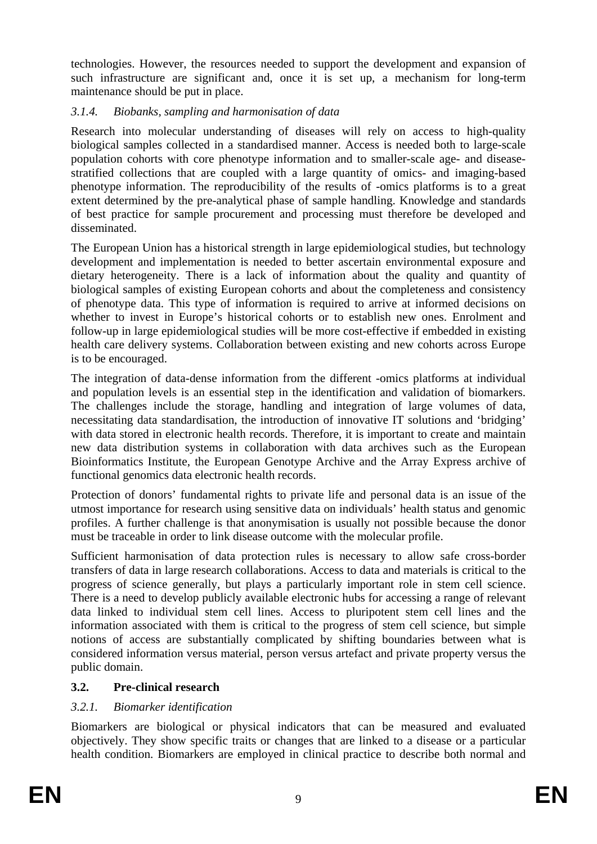technologies. However, the resources needed to support the development and expansion of such infrastructure are significant and, once it is set up, a mechanism for long-term maintenance should be put in place.

#### <span id="page-8-0"></span>*3.1.4. Biobanks, sampling and harmonisation of data*

Research into molecular understanding of diseases will rely on access to high-quality biological samples collected in a standardised manner. Access is needed both to large-scale population cohorts with core phenotype information and to smaller-scale age- and diseasestratified collections that are coupled with a large quantity of omics- and imaging-based phenotype information. The reproducibility of the results of -omics platforms is to a great extent determined by the pre-analytical phase of sample handling. Knowledge and standards of best practice for sample procurement and processing must therefore be developed and disseminated.

The European Union has a historical strength in large epidemiological studies, but technology development and implementation is needed to better ascertain environmental exposure and dietary heterogeneity. There is a lack of information about the quality and quantity of biological samples of existing European cohorts and about the completeness and consistency of phenotype data. This type of information is required to arrive at informed decisions on whether to invest in Europe's historical cohorts or to establish new ones. Enrolment and follow-up in large epidemiological studies will be more cost-effective if embedded in existing health care delivery systems. Collaboration between existing and new cohorts across Europe is to be encouraged.

The integration of data-dense information from the different -omics platforms at individual and population levels is an essential step in the identification and validation of biomarkers. The challenges include the storage, handling and integration of large volumes of data, necessitating data standardisation, the introduction of innovative IT solutions and 'bridging' with data stored in electronic health records. Therefore, it is important to create and maintain new data distribution systems in collaboration with data archives such as the European Bioinformatics Institute, the European Genotype Archive and the Array Express archive of functional genomics data electronic health records.

Protection of donors' fundamental rights to private life and personal data is an issue of the utmost importance for research using sensitive data on individuals' health status and genomic profiles. A further challenge is that anonymisation is usually not possible because the donor must be traceable in order to link disease outcome with the molecular profile.

Sufficient harmonisation of data protection rules is necessary to allow safe cross-border transfers of data in large research collaborations. Access to data and materials is critical to the progress of science generally, but plays a particularly important role in stem cell science. There is a need to develop publicly available electronic hubs for accessing a range of relevant data linked to individual stem cell lines. Access to pluripotent stem cell lines and the information associated with them is critical to the progress of stem cell science, but simple notions of access are substantially complicated by shifting boundaries between what is considered information versus material, person versus artefact and private property versus the public domain.

## <span id="page-8-1"></span>**3.2. Pre-clinical research**

## <span id="page-8-2"></span>*3.2.1. Biomarker identification*

Biomarkers are biological or physical indicators that can be measured and evaluated objectively. They show specific traits or changes that are linked to a disease or a particular health condition. Biomarkers are employed in clinical practice to describe both normal and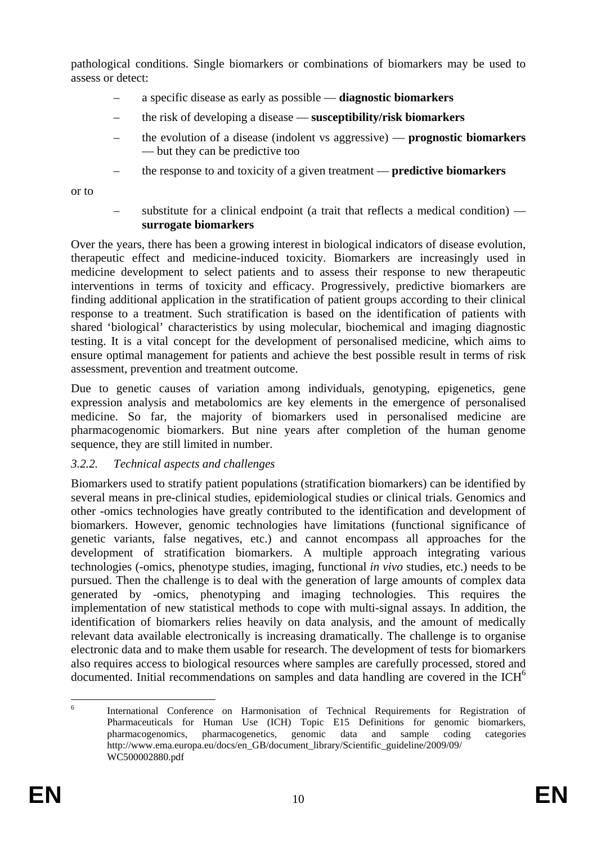pathological conditions. Single biomarkers or combinations of biomarkers may be used to assess or detect:

- a specific disease as early as possible **diagnostic biomarkers**
- the risk of developing a disease **susceptibility/risk biomarkers**
- the evolution of a disease (indolent vs aggressive) **prognostic biomarkers** — but they can be predictive too
- the response to and toxicity of a given treatment **predictive biomarkers**

or to

– substitute for a clinical endpoint (a trait that reflects a medical condition) **surrogate biomarkers** 

Over the years, there has been a growing interest in biological indicators of disease evolution, therapeutic effect and medicine-induced toxicity. Biomarkers are increasingly used in medicine development to select patients and to assess their response to new therapeutic interventions in terms of toxicity and efficacy. Progressively, predictive biomarkers are finding additional application in the stratification of patient groups according to their clinical response to a treatment. Such stratification is based on the identification of patients with shared 'biological' characteristics by using molecular, biochemical and imaging diagnostic testing. It is a vital concept for the development of personalised medicine, which aims to ensure optimal management for patients and achieve the best possible result in terms of risk assessment, prevention and treatment outcome.

Due to genetic causes of variation among individuals, genotyping, epigenetics, gene expression analysis and metabolomics are key elements in the emergence of personalised medicine. So far, the majority of biomarkers used in personalised medicine are pharmacogenomic biomarkers. But nine years after completion of the human genome sequence, they are still limited in number.

#### <span id="page-9-0"></span>*3.2.2. Technical aspects and challenges*

Biomarkers used to stratify patient populations (stratification biomarkers) can be identified by several means in pre-clinical studies, epidemiological studies or clinical trials. Genomics and other -omics technologies have greatly contributed to the identification and development of biomarkers. However, genomic technologies have limitations (functional significance of genetic variants, false negatives, etc.) and cannot encompass all approaches for the development of stratification biomarkers. A multiple approach integrating various technologies (-omics, phenotype studies, imaging, functional *in vivo* studies, etc.) needs to be pursued. Then the challenge is to deal with the generation of large amounts of complex data generated by -omics, phenotyping and imaging technologies. This requires the implementation of new statistical methods to cope with multi-signal assays. In addition, the identification of biomarkers relies heavily on data analysis, and the amount of medically relevant data available electronically is increasing dramatically. The challenge is to organise electronic data and to make them usable for research. The development of tests for biomarkers also requires access to biological resources where samples are carefully processed, stored and documented. Initial recommendations on samples and data handling are covered in the ICH $<sup>6</sup>$ </sup>

 $\frac{1}{6}$  International Conference on Harmonisation of Technical Requirements for Registration of Pharmaceuticals for Human Use (ICH) Topic E15 Definitions for genomic biomarkers, pharmacogenomics, pharmacogenetics, genomic data and sample coding categories http://www.ema.europa.eu/docs/en\_GB/document\_library/Scientific\_guideline/2009/09/ WC500002880.pdf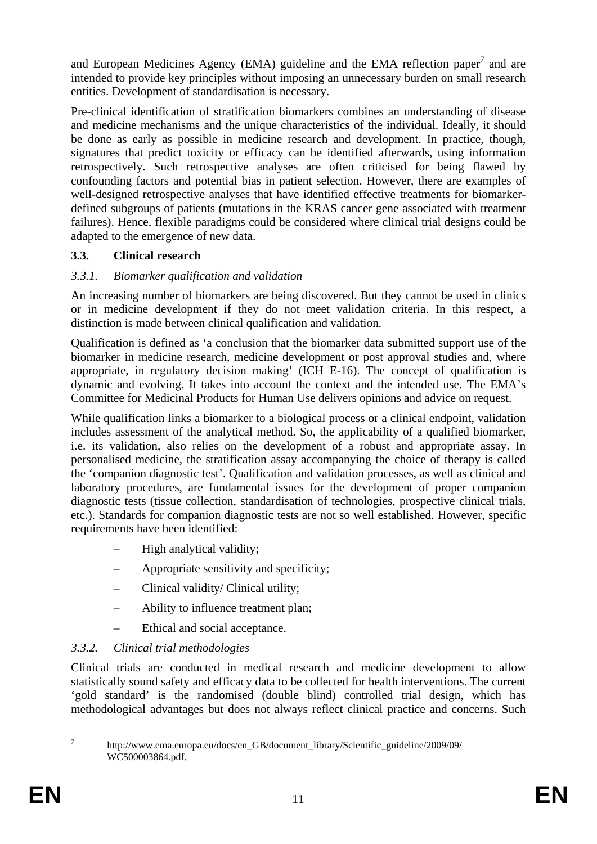and European Medicines Agency (EMA) guideline and the EMA reflection paper<sup>7</sup> and are intended to provide key principles without imposing an unnecessary burden on small research entities. Development of standardisation is necessary.

Pre-clinical identification of stratification biomarkers combines an understanding of disease and medicine mechanisms and the unique characteristics of the individual. Ideally, it should be done as early as possible in medicine research and development. In practice, though, signatures that predict toxicity or efficacy can be identified afterwards, using information retrospectively. Such retrospective analyses are often criticised for being flawed by confounding factors and potential bias in patient selection. However, there are examples of well-designed retrospective analyses that have identified effective treatments for biomarkerdefined subgroups of patients (mutations in the KRAS cancer gene associated with treatment failures). Hence, flexible paradigms could be considered where clinical trial designs could be adapted to the emergence of new data.

## <span id="page-10-0"></span>**3.3. Clinical research**

#### <span id="page-10-1"></span>*3.3.1. Biomarker qualification and validation*

An increasing number of biomarkers are being discovered. But they cannot be used in clinics or in medicine development if they do not meet validation criteria. In this respect, a distinction is made between clinical qualification and validation.

Qualification is defined as 'a conclusion that the biomarker data submitted support use of the biomarker in medicine research, medicine development or post approval studies and, where appropriate, in regulatory decision making' (ICH E-16). The concept of qualification is dynamic and evolving. It takes into account the context and the intended use. The EMA's Committee for Medicinal Products for Human Use delivers opinions and advice on request.

While qualification links a biomarker to a biological process or a clinical endpoint, validation includes assessment of the analytical method. So, the applicability of a qualified biomarker, i.e. its validation, also relies on the development of a robust and appropriate assay. In personalised medicine, the stratification assay accompanying the choice of therapy is called the 'companion diagnostic test'. Qualification and validation processes, as well as clinical and laboratory procedures, are fundamental issues for the development of proper companion diagnostic tests (tissue collection, standardisation of technologies, prospective clinical trials, etc.). Standards for companion diagnostic tests are not so well established. However, specific requirements have been identified:

- High analytical validity;
- Appropriate sensitivity and specificity;
- Clinical validity/ Clinical utility;
- Ability to influence treatment plan;
- Ethical and social acceptance.

## <span id="page-10-2"></span>*3.3.2. Clinical trial methodologies*

Clinical trials are conducted in medical research and medicine development to allow statistically sound safety and efficacy data to be collected for health interventions. The current 'gold standard' is the randomised (double blind) controlled trial design, which has methodological advantages but does not always reflect clinical practice and concerns. Such

—<br>7

http://www.ema.europa.eu/docs/en\_GB/document\_library/Scientific\_guideline/2009/09/ WC500003864.pdf.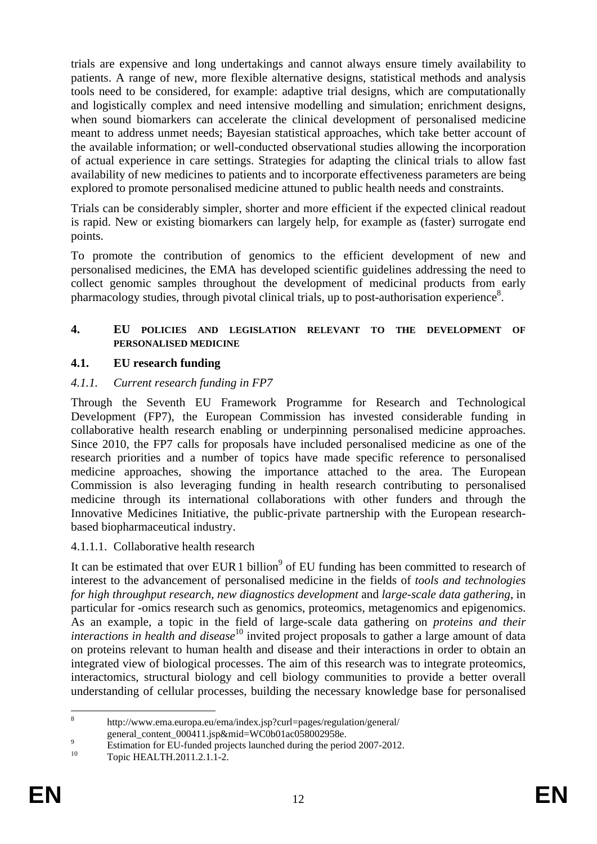trials are expensive and long undertakings and cannot always ensure timely availability to patients. A range of new, more flexible alternative designs, statistical methods and analysis tools need to be considered, for example: adaptive trial designs, which are computationally and logistically complex and need intensive modelling and simulation; enrichment designs, when sound biomarkers can accelerate the clinical development of personalised medicine meant to address unmet needs; Bayesian statistical approaches, which take better account of the available information; or well-conducted observational studies allowing the incorporation of actual experience in care settings. Strategies for adapting the clinical trials to allow fast availability of new medicines to patients and to incorporate effectiveness parameters are being explored to promote personalised medicine attuned to public health needs and constraints.

Trials can be considerably simpler, shorter and more efficient if the expected clinical readout is rapid. New or existing biomarkers can largely help, for example as (faster) surrogate end points.

To promote the contribution of genomics to the efficient development of new and personalised medicines, the EMA has developed scientific guidelines addressing the need to collect genomic samples throughout the development of medicinal products from early pharmacology studies, through pivotal clinical trials, up to post-authorisation experience<sup>8</sup>.

#### <span id="page-11-0"></span>**4. EU POLICIES AND LEGISLATION RELEVANT TO THE DEVELOPMENT OF PERSONALISED MEDICINE**

#### <span id="page-11-1"></span>**4.1. EU research funding**

#### <span id="page-11-2"></span>*4.1.1. Current research funding in FP7*

Through the Seventh EU Framework Programme for Research and Technological Development (FP7), the European Commission has invested considerable funding in collaborative health research enabling or underpinning personalised medicine approaches. Since 2010, the FP7 calls for proposals have included personalised medicine as one of the research priorities and a number of topics have made specific reference to personalised medicine approaches, showing the importance attached to the area. The European Commission is also leveraging funding in health research contributing to personalised medicine through its international collaborations with other funders and through the Innovative Medicines Initiative, the public-private partnership with the European researchbased biopharmaceutical industry.

#### <span id="page-11-3"></span>4.1.1.1. Collaborative health research

It can be estimated that over EUR 1 billion<sup>9</sup> of EU funding has been committed to research of interest to the advancement of personalised medicine in the fields of *tools and technologies for high throughput research*, *new diagnostics development* and *large-scale data gathering*, in particular for -omics research such as genomics, proteomics, metagenomics and epigenomics. As an example, a topic in the field of large-scale data gathering on *proteins and their interactions in health and disease*<sup>10</sup> invited project proposals to gather a large amount of data on proteins relevant to human health and disease and their interactions in order to obtain an integrated view of biological processes. The aim of this research was to integrate proteomics, interactomics, structural biology and cell biology communities to provide a better overall understanding of cellular processes, building the necessary knowledge base for personalised

 $\frac{1}{8}$  http://www.ema.europa.eu/ema/index.jsp?curl=pages/regulation/general/ general\_content\_000411.jsp&mid=WC0b01ac058002958e.

 $\frac{9}{10}$  Estimation for EU-funded projects launched during the period 2007-2012.

Topic HEALTH.2011.2.1.1-2.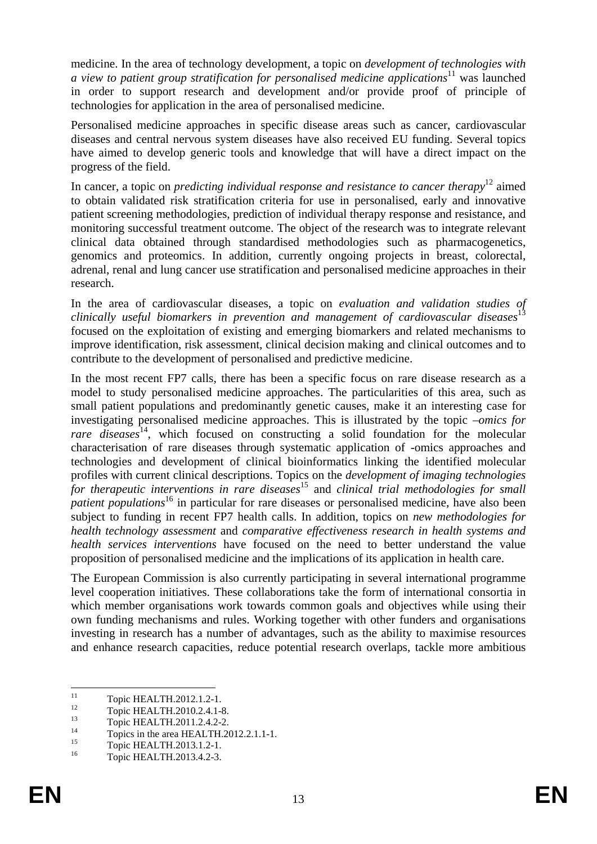medicine. In the area of technology development, a topic on *development of technologies with a view to patient group stratification for personalised medicine applications*11 was launched in order to support research and development and/or provide proof of principle of technologies for application in the area of personalised medicine.

Personalised medicine approaches in specific disease areas such as cancer, cardiovascular diseases and central nervous system diseases have also received EU funding. Several topics have aimed to develop generic tools and knowledge that will have a direct impact on the progress of the field.

In cancer, a topic on *predicting individual response and resistance to cancer therapy*<sup>12</sup> aimed to obtain validated risk stratification criteria for use in personalised, early and innovative patient screening methodologies, prediction of individual therapy response and resistance, and monitoring successful treatment outcome. The object of the research was to integrate relevant clinical data obtained through standardised methodologies such as pharmacogenetics, genomics and proteomics. In addition, currently ongoing projects in breast, colorectal, adrenal, renal and lung cancer use stratification and personalised medicine approaches in their research.

In the area of cardiovascular diseases, a topic on *evaluation and validation studies of clinically useful biomarkers in prevention and management of cardiovascular diseases*<sup>13</sup> focused on the exploitation of existing and emerging biomarkers and related mechanisms to improve identification, risk assessment, clinical decision making and clinical outcomes and to contribute to the development of personalised and predictive medicine.

In the most recent FP7 calls, there has been a specific focus on rare disease research as a model to study personalised medicine approaches. The particularities of this area, such as small patient populations and predominantly genetic causes, make it an interesting case for investigating personalised medicine approaches. This is illustrated by the topic *–omics for rare diseases*<sup>14</sup>, which focused on constructing a solid foundation for the molecular characterisation of rare diseases through systematic application of -omics approaches and technologies and development of clinical bioinformatics linking the identified molecular profiles with current clinical descriptions. Topics on the *development of imaging technologies for therapeutic interventions in rare diseases*<sup>15</sup> and *clinical trial methodologies for small patient populations*<sup>16</sup> in particular for rare diseases or personalised medicine, have also been subject to funding in recent FP7 health calls. In addition, topics on *new methodologies for health technology assessment* and *comparative effectiveness research in health systems and health services interventions* have focused on the need to better understand the value proposition of personalised medicine and the implications of its application in health care.

The European Commission is also currently participating in several international programme level cooperation initiatives. These collaborations take the form of international consortia in which member organisations work towards common goals and objectives while using their own funding mechanisms and rules. Working together with other funders and organisations investing in research has a number of advantages, such as the ability to maximise resources and enhance research capacities, reduce potential research overlaps, tackle more ambitious

 $11$  $11$  Topic HEALTH.2012.1.2-1.

 $12$  Topic HEALTH.2010.2.4.1-8.

 $13$  Topic HEALTH.2011.2.4.2-2.

<sup>&</sup>lt;sup>14</sup> Topics in the area HEALTH.2012.2.1.1-1.

 $15$  Topic HEALTH.2013.1.2-1.

Topic HEALTH.2013.4.2-3.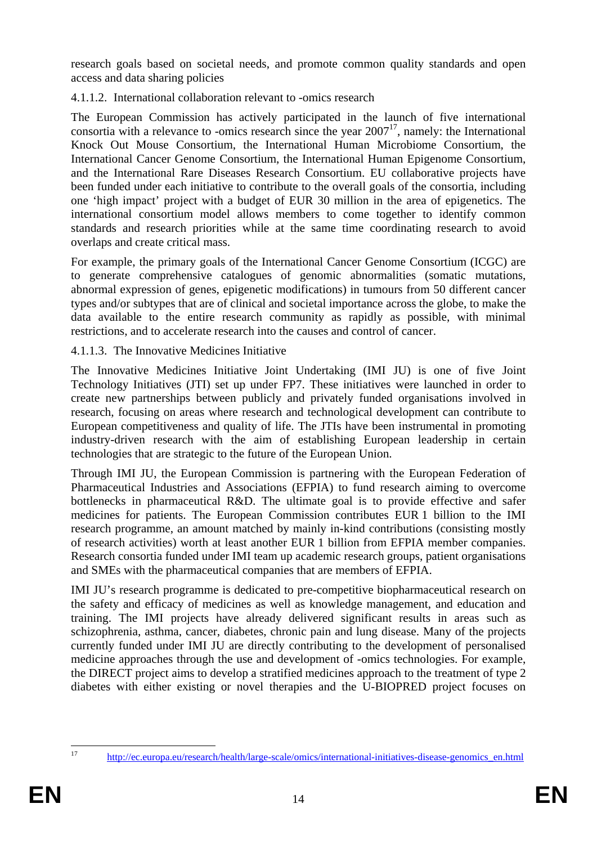research goals based on societal needs, and promote common quality standards and open access and data sharing policies

<span id="page-13-0"></span>4.1.1.2. International collaboration relevant to -omics research

The European Commission has actively participated in the launch of five international consortia with a relevance to -omics research since the year  $2007<sup>17</sup>$ , namely: the International Knock Out Mouse Consortium, the International Human Microbiome Consortium, the International Cancer Genome Consortium, the International Human Epigenome Consortium, and the International Rare Diseases Research Consortium. EU collaborative projects have been funded under each initiative to contribute to the overall goals of the consortia, including one 'high impact' project with a budget of EUR 30 million in the area of epigenetics. The international consortium model allows members to come together to identify common standards and research priorities while at the same time coordinating research to avoid overlaps and create critical mass.

For example, the primary goals of the International Cancer Genome Consortium (ICGC) are to generate comprehensive catalogues of genomic abnormalities (somatic mutations, abnormal expression of genes, epigenetic modifications) in tumours from 50 different cancer types and/or subtypes that are of clinical and societal importance across the globe, to make the data available to the entire research community as rapidly as possible, with minimal restrictions, and to accelerate research into the causes and control of cancer.

<span id="page-13-1"></span>4.1.1.3. The Innovative Medicines Initiative

The Innovative Medicines Initiative Joint Undertaking (IMI JU) is one of five Joint Technology Initiatives (JTI) set up under FP7. These initiatives were launched in order to create new partnerships between publicly and privately funded organisations involved in research, focusing on areas where research and technological development can contribute to European competitiveness and quality of life. The JTIs have been instrumental in promoting industry-driven research with the aim of establishing European leadership in certain technologies that are strategic to the future of the European Union.

Through IMI JU, the European Commission is partnering with the European Federation of Pharmaceutical Industries and Associations (EFPIA) to fund research aiming to overcome bottlenecks in pharmaceutical R&D. The ultimate goal is to provide effective and safer medicines for patients. The European Commission contributes EUR 1 billion to the IMI research programme, an amount matched by mainly in-kind contributions (consisting mostly of research activities) worth at least another EUR 1 billion from EFPIA member companies. Research consortia funded under IMI team up academic research groups, patient organisations and SMEs with the pharmaceutical companies that are members of EFPIA.

IMI JU's research programme is dedicated to pre-competitive biopharmaceutical research on the safety and efficacy of medicines as well as knowledge management, and education and training. The IMI projects have already delivered significant results in areas such as schizophrenia, asthma, cancer, diabetes, chronic pain and lung disease. Many of the projects currently funded under IMI JU are directly contributing to the development of personalised medicine approaches through the use and development of -omics technologies. For example, the DIRECT project aims to develop a stratified medicines approach to the treatment of type 2 diabetes with either existing or novel therapies and the U-BIOPRED project focuses on

 $17$ 

[<sup>17</sup> http://ec.europa.eu/research/health/large-scale/omics/international-initiatives-disease-genomics\\_en.html](http://ec.europa.eu/research/health/large-scale/omics/international-initiatives-disease-genomics_en.html)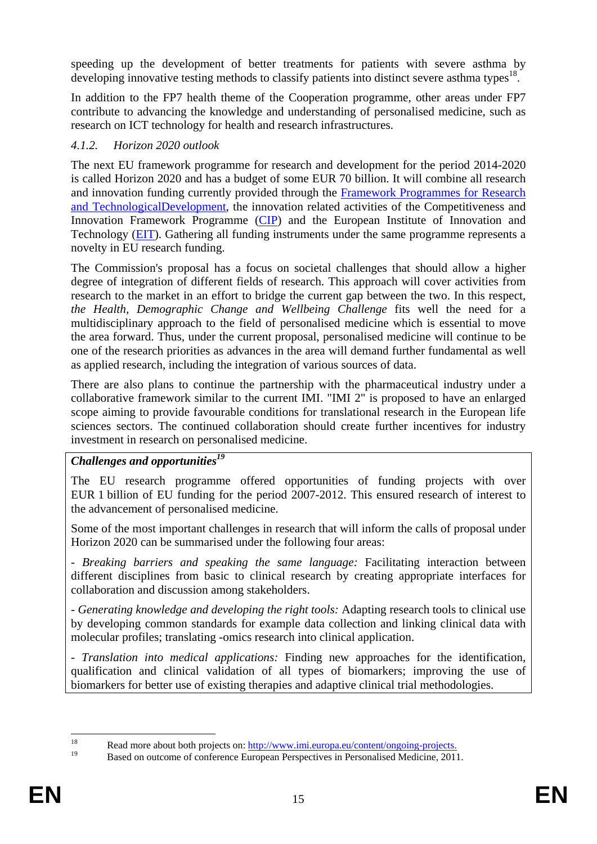speeding up the development of better treatments for patients with severe asthma by developing innovative testing methods to classify patients into distinct severe asthma types<sup>18</sup>.

In addition to the FP7 health theme of the Cooperation programme, other areas under FP7 contribute to advancing the knowledge and understanding of personalised medicine, such as research on ICT technology for health and research infrastructures.

#### <span id="page-14-0"></span>*4.1.2. Horizon 2020 outlook*

The next EU framework programme for research and development for the period 2014-2020 is called Horizon 2020 and has a budget of some EUR 70 billion. It will combine all research and innovation funding currently provided through the [Framework Programmes for Research](http://cordis.europa.eu/fp7/home_en.html#_blank)  [and TechnologicalDevelopment,](http://cordis.europa.eu/fp7/home_en.html#_blank) the innovation related activities of the Competitiveness and Innovation Framework Programme [\(CIP\)](http://ec.europa.eu/cip/#_blank) and the European Institute of Innovation and Technology [\(EIT\)](http://eit.europa.eu/#_blank). Gathering all funding instruments under the same programme represents a novelty in EU research funding.

The Commission's proposal has a focus on societal challenges that should allow a higher degree of integration of different fields of research. This approach will cover activities from research to the market in an effort to bridge the current gap between the two. In this respect, *the Health, Demographic Change and Wellbeing Challenge* fits well the need for a multidisciplinary approach to the field of personalised medicine which is essential to move the area forward. Thus, under the current proposal, personalised medicine will continue to be one of the research priorities as advances in the area will demand further fundamental as well as applied research, including the integration of various sources of data.

There are also plans to continue the partnership with the pharmaceutical industry under a collaborative framework similar to the current IMI. "IMI 2" is proposed to have an enlarged scope aiming to provide favourable conditions for translational research in the European life sciences sectors. The continued collaboration should create further incentives for industry investment in research on personalised medicine.

## *Challenges and opportunities19*

The EU research programme offered opportunities of funding projects with over EUR 1 billion of EU funding for the period 2007-2012. This ensured research of interest to the advancement of personalised medicine.

Some of the most important challenges in research that will inform the calls of proposal under Horizon 2020 can be summarised under the following four areas:

*- Breaking barriers and speaking the same language:* Facilitating interaction between different disciplines from basic to clinical research by creating appropriate interfaces for collaboration and discussion among stakeholders.

*- Generating knowledge and developing the right tools:* Adapting research tools to clinical use by developing common standards for example data collection and linking clinical data with molecular profiles; translating -omics research into clinical application.

*- Translation into medical applications:* Finding new approaches for the identification, qualification and clinical validation of all types of biomarkers; improving the use of biomarkers for better use of existing therapies and adaptive clinical trial methodologies.

 $\frac{1}{2}$ <sup>18</sup><br>
Read more about both projects on: <u>http://www.imi.europa.eu/content/ongoing-projects.</u><br>
Passed on sutcome of sonformese European Permeatives in Personalised Medicine, 2011

Based on outcome of conference European Perspectives in Personalised Medicine, 2011.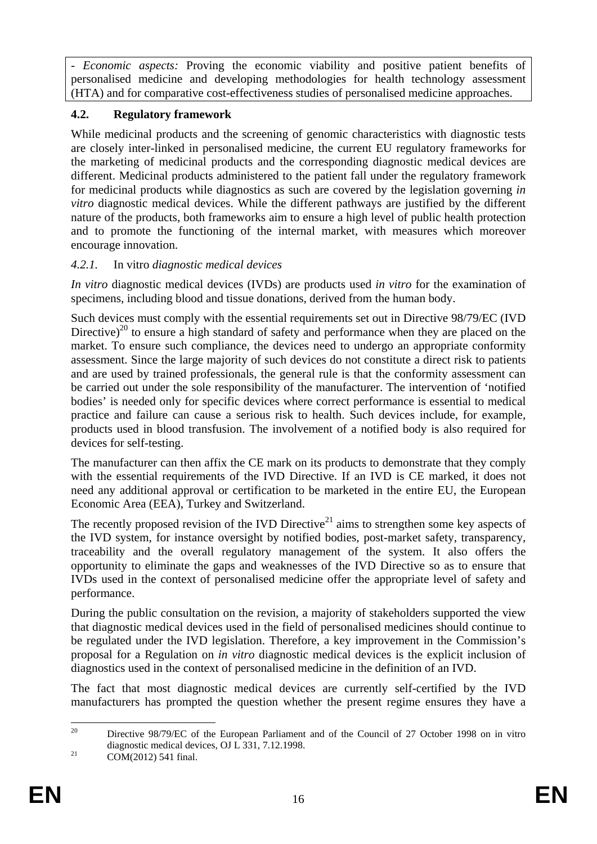*- Economic aspects:* Proving the economic viability and positive patient benefits of personalised medicine and developing methodologies for health technology assessment (HTA) and for comparative cost-effectiveness studies of personalised medicine approaches.

#### <span id="page-15-0"></span>**4.2. Regulatory framework**

While medicinal products and the screening of genomic characteristics with diagnostic tests are closely inter-linked in personalised medicine, the current EU regulatory frameworks for the marketing of medicinal products and the corresponding diagnostic medical devices are different. Medicinal products administered to the patient fall under the regulatory framework for medicinal products while diagnostics as such are covered by the legislation governing *in vitro* diagnostic medical devices. While the different pathways are justified by the different nature of the products, both frameworks aim to ensure a high level of public health protection and to promote the functioning of the internal market, with measures which moreover encourage innovation.

## <span id="page-15-1"></span>*4.2.1.* In vitro *diagnostic medical devices*

*In vitro* diagnostic medical devices (IVDs) are products used *in vitro* for the examination of specimens, including blood and tissue donations, derived from the human body.

Such devices must comply with the essential requirements set out in Directive 98/79/EC (IVD Directive)<sup>20</sup> to ensure a high standard of safety and performance when they are placed on the market. To ensure such compliance, the devices need to undergo an appropriate conformity assessment. Since the large majority of such devices do not constitute a direct risk to patients and are used by trained professionals, the general rule is that the conformity assessment can be carried out under the sole responsibility of the manufacturer. The intervention of 'notified bodies' is needed only for specific devices where correct performance is essential to medical practice and failure can cause a serious risk to health. Such devices include, for example, products used in blood transfusion. The involvement of a notified body is also required for devices for self-testing.

The manufacturer can then affix the CE mark on its products to demonstrate that they comply with the essential requirements of the IVD Directive. If an IVD is CE marked, it does not need any additional approval or certification to be marketed in the entire EU, the European Economic Area (EEA), Turkey and Switzerland.

The recently proposed revision of the IVD Directive<sup>21</sup> aims to strengthen some key aspects of the IVD system, for instance oversight by notified bodies, post-market safety, transparency, traceability and the overall regulatory management of the system. It also offers the opportunity to eliminate the gaps and weaknesses of the IVD Directive so as to ensure that IVDs used in the context of personalised medicine offer the appropriate level of safety and performance.

During the public consultation on the revision, a majority of stakeholders supported the view that diagnostic medical devices used in the field of personalised medicines should continue to be regulated under the IVD legislation. Therefore, a key improvement in the Commission's proposal for a Regulation on *in vitro* diagnostic medical devices is the explicit inclusion of diagnostics used in the context of personalised medicine in the definition of an IVD.

The fact that most diagnostic medical devices are currently self-certified by the IVD manufacturers has prompted the question whether the present regime ensures they have a

 $20^{\circ}$ 20 Directive 98/79/EC of the European Parliament and of the Council of 27 October 1998 on in vitro diagnostic medical devices, OJ L 331, 7.12.1998.<br>COM(2012) 541 final.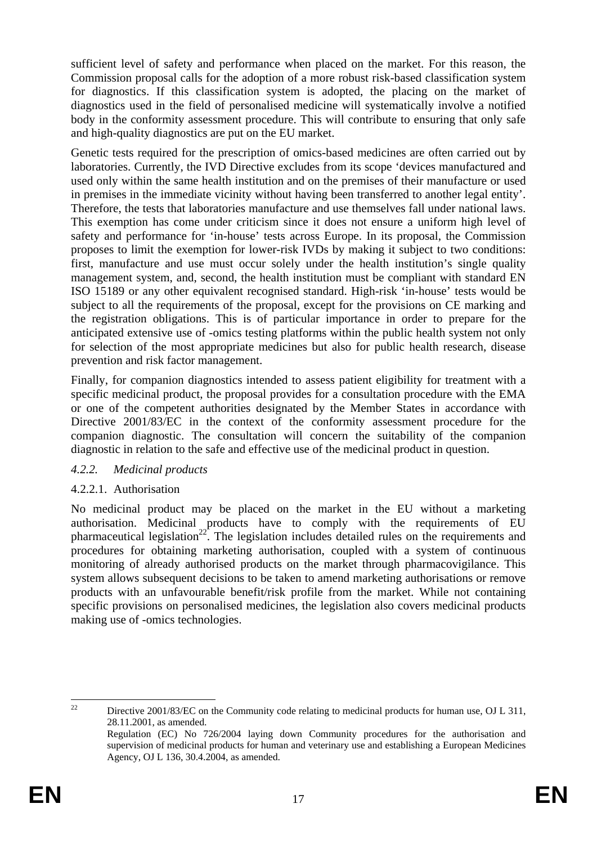sufficient level of safety and performance when placed on the market. For this reason, the Commission proposal calls for the adoption of a more robust risk-based classification system for diagnostics. If this classification system is adopted, the placing on the market of diagnostics used in the field of personalised medicine will systematically involve a notified body in the conformity assessment procedure. This will contribute to ensuring that only safe and high-quality diagnostics are put on the EU market.

Genetic tests required for the prescription of omics-based medicines are often carried out by laboratories. Currently, the IVD Directive excludes from its scope 'devices manufactured and used only within the same health institution and on the premises of their manufacture or used in premises in the immediate vicinity without having been transferred to another legal entity'. Therefore, the tests that laboratories manufacture and use themselves fall under national laws. This exemption has come under criticism since it does not ensure a uniform high level of safety and performance for 'in-house' tests across Europe. In its proposal, the Commission proposes to limit the exemption for lower-risk IVDs by making it subject to two conditions: first, manufacture and use must occur solely under the health institution's single quality management system, and, second, the health institution must be compliant with standard EN ISO 15189 or any other equivalent recognised standard. High-risk 'in-house' tests would be subject to all the requirements of the proposal, except for the provisions on CE marking and the registration obligations. This is of particular importance in order to prepare for the anticipated extensive use of -omics testing platforms within the public health system not only for selection of the most appropriate medicines but also for public health research, disease prevention and risk factor management.

Finally, for companion diagnostics intended to assess patient eligibility for treatment with a specific medicinal product, the proposal provides for a consultation procedure with the EMA or one of the competent authorities designated by the Member States in accordance with Directive 2001/83/EC in the context of the conformity assessment procedure for the companion diagnostic. The consultation will concern the suitability of the companion diagnostic in relation to the safe and effective use of the medicinal product in question.

#### <span id="page-16-0"></span>*4.2.2. Medicinal products*

## <span id="page-16-1"></span>4.2.2.1. Authorisation

No medicinal product may be placed on the market in the EU without a marketing authorisation. Medicinal products have to comply with the requirements of EU pharmaceutical legislation<sup>22</sup>. The legislation includes detailed rules on the requirements and procedures for obtaining marketing authorisation, coupled with a system of continuous monitoring of already authorised products on the market through pharmacovigilance. This system allows subsequent decisions to be taken to amend marketing authorisations or remove products with an unfavourable benefit/risk profile from the market. While not containing specific provisions on personalised medicines, the legislation also covers medicinal products making use of -omics technologies.

 $22$ 22 Directive 2001/83/EC on the Community code relating to medicinal products for human use, OJ L 311, 28.11.2001, as amended.

Regulation (EC) No 726/2004 laying down Community procedures for the authorisation and supervision of medicinal products for human and veterinary use and establishing a European Medicines Agency, OJ L 136, 30.4.2004, as amended.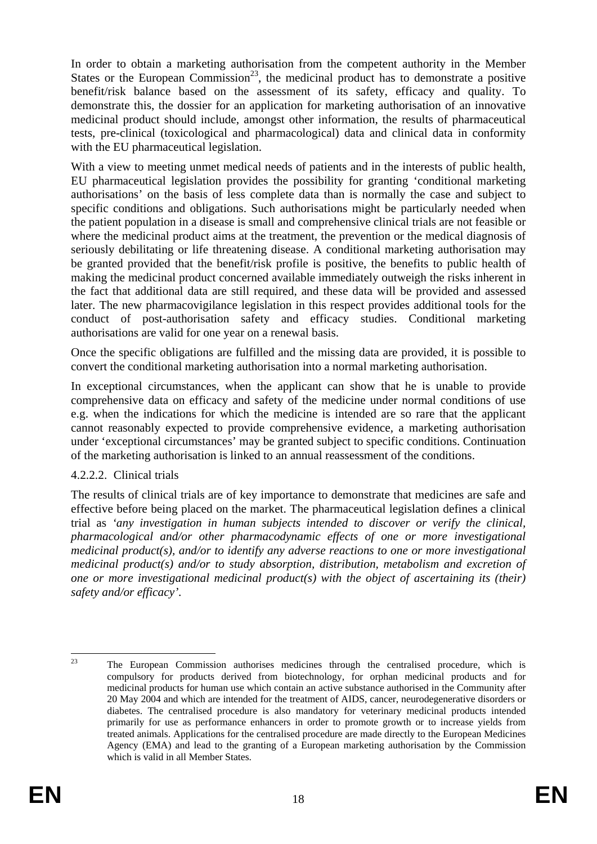In order to obtain a marketing authorisation from the competent authority in the Member States or the European Commission<sup>23</sup>, the medicinal product has to demonstrate a positive benefit/risk balance based on the assessment of its safety, efficacy and quality. To demonstrate this, the dossier for an application for marketing authorisation of an innovative medicinal product should include, amongst other information, the results of pharmaceutical tests, pre-clinical (toxicological and pharmacological) data and clinical data in conformity with the EU pharmaceutical legislation.

With a view to meeting unmet medical needs of patients and in the interests of public health, EU pharmaceutical legislation provides the possibility for granting 'conditional marketing authorisations' on the basis of less complete data than is normally the case and subject to specific conditions and obligations. Such authorisations might be particularly needed when the patient population in a disease is small and comprehensive clinical trials are not feasible or where the medicinal product aims at the treatment, the prevention or the medical diagnosis of seriously debilitating or life threatening disease. A conditional marketing authorisation may be granted provided that the benefit/risk profile is positive, the benefits to public health of making the medicinal product concerned available immediately outweigh the risks inherent in the fact that additional data are still required, and these data will be provided and assessed later. The new pharmacovigilance legislation in this respect provides additional tools for the conduct of post-authorisation safety and efficacy studies. Conditional marketing authorisations are valid for one year on a renewal basis.

Once the specific obligations are fulfilled and the missing data are provided, it is possible to convert the conditional marketing authorisation into a normal marketing authorisation.

In exceptional circumstances, when the applicant can show that he is unable to provide comprehensive data on efficacy and safety of the medicine under normal conditions of use e.g. when the indications for which the medicine is intended are so rare that the applicant cannot reasonably expected to provide comprehensive evidence, a marketing authorisation under 'exceptional circumstances' may be granted subject to specific conditions. Continuation of the marketing authorisation is linked to an annual reassessment of the conditions.

#### <span id="page-17-0"></span>4.2.2.2. Clinical trials

The results of clinical trials are of key importance to demonstrate that medicines are safe and effective before being placed on the market. The pharmaceutical legislation defines a clinical trial as *'any investigation in human subjects intended to discover or verify the clinical, pharmacological and/or other pharmacodynamic effects of one or more investigational medicinal product(s), and/or to identify any adverse reactions to one or more investigational medicinal product(s) and/or to study absorption, distribution, metabolism and excretion of one or more investigational medicinal product(s) with the object of ascertaining its (their) safety and/or efficacy'.* 

<sup>23</sup> 23 The European Commission authorises medicines through the centralised procedure, which is compulsory for products derived from biotechnology, for orphan medicinal products and for medicinal products for human use which contain an active substance authorised in the Community after 20 May 2004 and which are intended for the treatment of AIDS, cancer, neurodegenerative disorders or diabetes. The centralised procedure is also mandatory for veterinary medicinal products intended primarily for use as performance enhancers in order to promote growth or to increase yields from treated animals. Applications for the centralised procedure are made directly to the European Medicines Agency (EMA) and lead to the granting of a European marketing authorisation by the Commission which is valid in all Member States.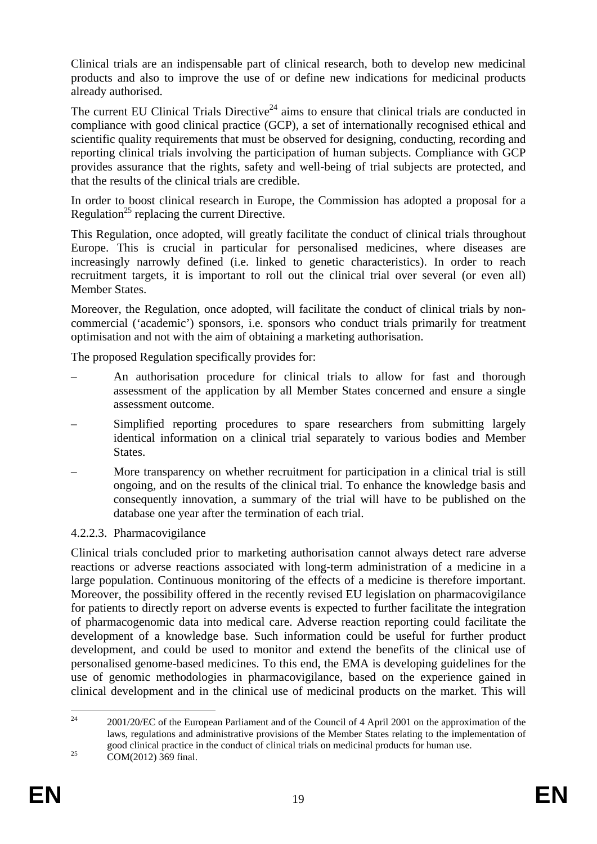Clinical trials are an indispensable part of clinical research, both to develop new medicinal products and also to improve the use of or define new indications for medicinal products already authorised.

The current EU Clinical Trials Directive<sup>24</sup> aims to ensure that clinical trials are conducted in compliance with good clinical practice (GCP), a set of internationally recognised ethical and scientific quality requirements that must be observed for designing, conducting, recording and reporting clinical trials involving the participation of human subjects. Compliance with GCP provides assurance that the rights, safety and well-being of trial subjects are protected, and that the results of the clinical trials are credible.

In order to boost clinical research in Europe, the Commission has adopted a proposal for a Regulation<sup>25</sup> replacing the current Directive.

This Regulation, once adopted, will greatly facilitate the conduct of clinical trials throughout Europe. This is crucial in particular for personalised medicines, where diseases are increasingly narrowly defined (i.e. linked to genetic characteristics). In order to reach recruitment targets, it is important to roll out the clinical trial over several (or even all) Member States.

Moreover, the Regulation, once adopted, will facilitate the conduct of clinical trials by noncommercial ('academic') sponsors, i.e. sponsors who conduct trials primarily for treatment optimisation and not with the aim of obtaining a marketing authorisation.

The proposed Regulation specifically provides for:

- An authorisation procedure for clinical trials to allow for fast and thorough assessment of the application by all Member States concerned and ensure a single assessment outcome.
- Simplified reporting procedures to spare researchers from submitting largely identical information on a clinical trial separately to various bodies and Member States.
- More transparency on whether recruitment for participation in a clinical trial is still ongoing, and on the results of the clinical trial. To enhance the knowledge basis and consequently innovation, a summary of the trial will have to be published on the database one year after the termination of each trial.

#### <span id="page-18-0"></span>4.2.2.3. Pharmacovigilance

Clinical trials concluded prior to marketing authorisation cannot always detect rare adverse reactions or adverse reactions associated with long-term administration of a medicine in a large population. Continuous monitoring of the effects of a medicine is therefore important. Moreover, the possibility offered in the recently revised EU legislation on pharmacovigilance for patients to directly report on adverse events is expected to further facilitate the integration of pharmacogenomic data into medical care. Adverse reaction reporting could facilitate the development of a knowledge base. Such information could be useful for further product development, and could be used to monitor and extend the benefits of the clinical use of personalised genome-based medicines. To this end, the EMA is developing guidelines for the use of genomic methodologies in pharmacovigilance, based on the experience gained in clinical development and in the clinical use of medicinal products on the market. This will

 $24$ 24 2001/20/EC of the European Parliament and of the Council of 4 April 2001 on the approximation of the laws, regulations and administrative provisions of the Member States relating to the implementation of good clinical practice in the conduct of clinical trials on medicinal products for human use. 25 COM(2012) 369 final.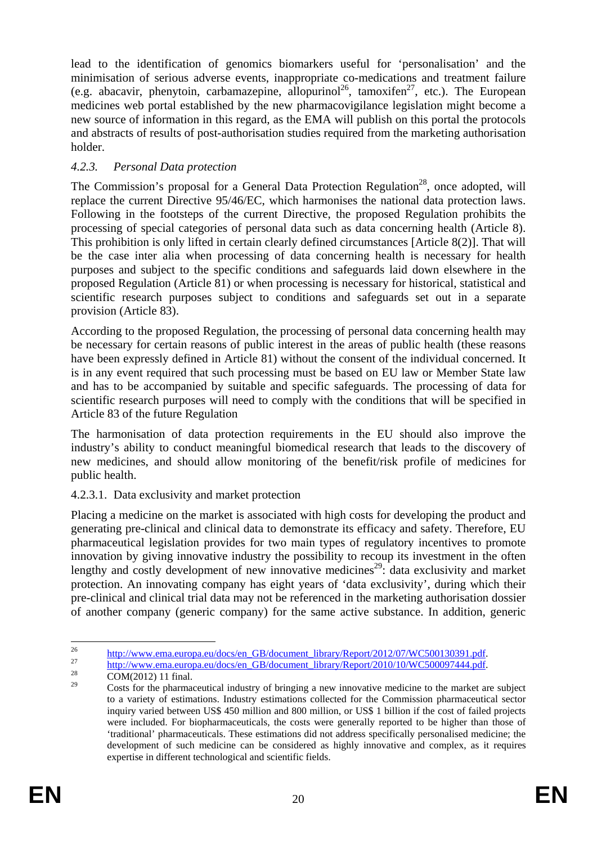lead to the identification of genomics biomarkers useful for 'personalisation' and the minimisation of serious adverse events, inappropriate co-medications and treatment failure (e.g. abacavir, phenytoin, carbamazepine, allopurinol<sup>26</sup>, tamoxifen<sup>27</sup>, etc.). The European medicines web portal established by the new pharmacovigilance legislation might become a new source of information in this regard, as the EMA will publish on this portal the protocols and abstracts of results of post-authorisation studies required from the marketing authorisation holder.

#### <span id="page-19-0"></span>*4.2.3. Personal Data protection*

The Commission's proposal for a General Data Protection Regulation<sup>28</sup>, once adopted, will replace the current Directive 95/46/EC, which harmonises the national data protection laws. Following in the footsteps of the current Directive, the proposed Regulation prohibits the processing of special categories of personal data such as data concerning health (Article 8). This prohibition is only lifted in certain clearly defined circumstances [Article 8(2)]. That will be the case inter alia when processing of data concerning health is necessary for health purposes and subject to the specific conditions and safeguards laid down elsewhere in the proposed Regulation (Article 81) or when processing is necessary for historical, statistical and scientific research purposes subject to conditions and safeguards set out in a separate provision (Article 83).

According to the proposed Regulation, the processing of personal data concerning health may be necessary for certain reasons of public interest in the areas of public health (these reasons have been expressly defined in Article 81) without the consent of the individual concerned. It is in any event required that such processing must be based on EU law or Member State law and has to be accompanied by suitable and specific safeguards. The processing of data for scientific research purposes will need to comply with the conditions that will be specified in Article 83 of the future Regulation

The harmonisation of data protection requirements in the EU should also improve the industry's ability to conduct meaningful biomedical research that leads to the discovery of new medicines, and should allow monitoring of the benefit/risk profile of medicines for public health.

#### <span id="page-19-1"></span>4.2.3.1. Data exclusivity and market protection

Placing a medicine on the market is associated with high costs for developing the product and generating pre-clinical and clinical data to demonstrate its efficacy and safety. Therefore, EU pharmaceutical legislation provides for two main types of regulatory incentives to promote innovation by giving innovative industry the possibility to recoup its investment in the often lengthy and costly development of new innovative medicines<sup>29</sup>: data exclusivity and market protection. An innovating company has eight years of 'data exclusivity', during which their pre-clinical and clinical trial data may not be referenced in the marketing authorisation dossier of another company (generic company) for the same active substance. In addition, generic

<sup>26</sup> 

<sup>&</sup>lt;sup>26</sup> http://www.ema.europa.eu/docs/en\_GB/document\_library/Report/2012/07/WC500130391.pdf.<br><sup>27</sup> http://www.ema.europa.eu/docs/en\_GB/document\_library/Report/2010/10/WC500097444.pdf.<br><sup>29</sup> cOM(2012) 11 final.

Costs for the pharmaceutical industry of bringing a new innovative medicine to the market are subject to a variety of estimations. Industry estimations collected for the Commission pharmaceutical sector inquiry varied between US\$ 450 million and 800 million, or US\$ 1 billion if the cost of failed projects were included. For biopharmaceuticals, the costs were generally reported to be higher than those of 'traditional' pharmaceuticals. These estimations did not address specifically personalised medicine; the development of such medicine can be considered as highly innovative and complex, as it requires expertise in different technological and scientific fields.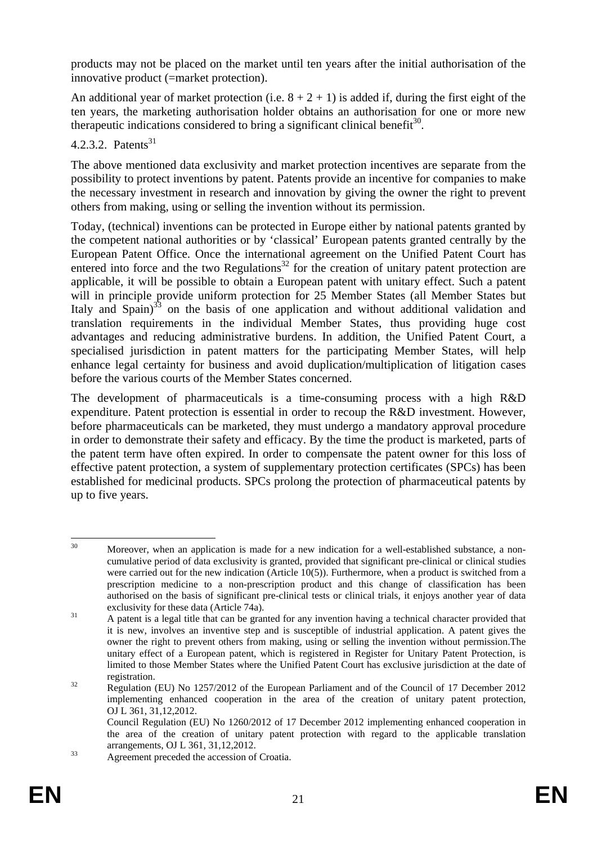products may not be placed on the market until ten years after the initial authorisation of the innovative product (=market protection).

An additional year of market protection (i.e.  $8 + 2 + 1$ ) is added if, during the first eight of the ten years, the marketing authorisation holder obtains an authorisation for one or more new therapeutic indications considered to bring a significant clinical benefit<sup>30</sup>.

#### <span id="page-20-0"></span>4.2.3.2. Patents<sup>31</sup>

The above mentioned data exclusivity and market protection incentives are separate from the possibility to protect inventions by patent. Patents provide an incentive for companies to make the necessary investment in research and innovation by giving the owner the right to prevent others from making, using or selling the invention without its permission.

Today, (technical) inventions can be protected in Europe either by national patents granted by the competent national authorities or by 'classical' European patents granted centrally by the European Patent Office. Once the international agreement on the Unified Patent Court has entered into force and the two Regulations<sup>32</sup> for the creation of unitary patent protection are applicable, it will be possible to obtain a European patent with unitary effect. Such a patent will in principle provide uniform protection for 25 Member States (all Member States but Italy and Spain)<sup>33</sup> on the basis of one application and without additional validation and translation requirements in the individual Member States, thus providing huge cost advantages and reducing administrative burdens. In addition, the Unified Patent Court, a specialised jurisdiction in patent matters for the participating Member States, will help enhance legal certainty for business and avoid duplication/multiplication of litigation cases before the various courts of the Member States concerned.

The development of pharmaceuticals is a time-consuming process with a high R&D expenditure. Patent protection is essential in order to recoup the R&D investment. However, before pharmaceuticals can be marketed, they must undergo a mandatory approval procedure in order to demonstrate their safety and efficacy. By the time the product is marketed, parts of the patent term have often expired. In order to compensate the patent owner for this loss of effective patent protection, a system of supplementary protection certificates (SPCs) has been established for medicinal products. SPCs prolong the protection of pharmaceutical patents by up to five years.

 $30^{\circ}$ Moreover, when an application is made for a new indication for a well-established substance, a noncumulative period of data exclusivity is granted, provided that significant pre-clinical or clinical studies were carried out for the new indication (Article 10(5)). Furthermore, when a product is switched from a prescription medicine to a non-prescription product and this change of classification has been authorised on the basis of significant pre-clinical tests or clinical trials, it enjoys another year of data

exclusivity for these data (Article 74a).<br>  $\alpha$  A patent is a legal title that can be granted for any invention having a technical character provided that it is new, involves an inventive step and is susceptible of industrial application. A patent gives the owner the right to prevent others from making, using or selling the invention without permission.The unitary effect of a European patent, which is registered in Register for Unitary Patent Protection, is limited to those Member States where the Unified Patent Court has exclusive jurisdiction at the date of registration. 32 Regulation (EU) No 1257/2012 of the European Parliament and of the Council of 17 December 2012

implementing enhanced cooperation in the area of the creation of unitary patent protection, OJ L 361, 31,12,2012.

Council Regulation (EU) No 1260/2012 of 17 December 2012 implementing enhanced cooperation in the area of the creation of unitary patent protection with regard to the applicable translation

arrangements, OJ L 361, 31, 12, 2012.<br>Agreement preceded the accession of Croatia.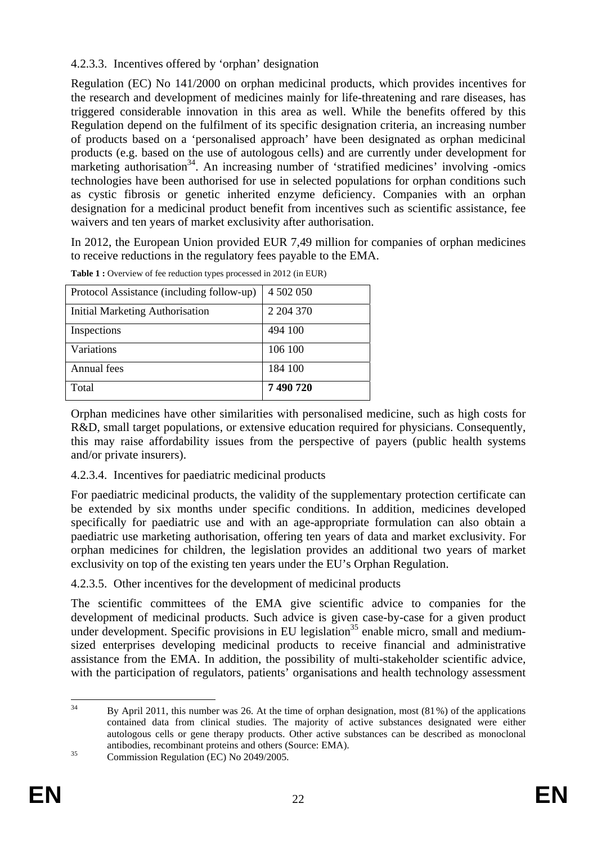#### <span id="page-21-0"></span>4.2.3.3. Incentives offered by 'orphan' designation

Regulation (EC) No 141/2000 on orphan medicinal products, which provides incentives for the research and development of medicines mainly for life-threatening and rare diseases, has triggered considerable innovation in this area as well. While the benefits offered by this Regulation depend on the fulfilment of its specific designation criteria, an increasing number of products based on a 'personalised approach' have been designated as orphan medicinal products (e.g. based on the use of autologous cells) and are currently under development for marketing authorisation<sup>34</sup>. An increasing number of 'stratified medicines' involving -omics technologies have been authorised for use in selected populations for orphan conditions such as cystic fibrosis or genetic inherited enzyme deficiency. Companies with an orphan designation for a medicinal product benefit from incentives such as scientific assistance, fee waivers and ten years of market exclusivity after authorisation.

In 2012, the European Union provided EUR 7,49 million for companies of orphan medicines to receive reductions in the regulatory fees payable to the EMA.

| Total                                     | 7490720   |
|-------------------------------------------|-----------|
| Annual fees                               | 184 100   |
| Variations                                | 106 100   |
| Inspections                               | 494 100   |
| <b>Initial Marketing Authorisation</b>    | 2 204 370 |
| Protocol Assistance (including follow-up) | 4 502 050 |

**Table 1 :** Overview of fee reduction types processed in 2012 (in EUR)

Orphan medicines have other similarities with personalised medicine, such as high costs for R&D, small target populations, or extensive education required for physicians. Consequently, this may raise affordability issues from the perspective of payers (public health systems and/or private insurers).

#### <span id="page-21-1"></span>4.2.3.4. Incentives for paediatric medicinal products

For paediatric medicinal products, the validity of the supplementary protection certificate can be extended by six months under specific conditions. In addition, medicines developed specifically for paediatric use and with an age-appropriate formulation can also obtain a paediatric use marketing authorisation, offering ten years of data and market exclusivity. For orphan medicines for children, the legislation provides an additional two years of market exclusivity on top of the existing ten years under the EU's Orphan Regulation.

<span id="page-21-2"></span>4.2.3.5. Other incentives for the development of medicinal products

The scientific committees of the EMA give scientific advice to companies for the development of medicinal products. Such advice is given case-by-case for a given product under development. Specific provisions in EU legislation<sup>35</sup> enable micro, small and mediumsized enterprises developing medicinal products to receive financial and administrative assistance from the EMA. In addition, the possibility of multi-stakeholder scientific advice, with the participation of regulators, patients' organisations and health technology assessment

 $34$ 34 By April 2011, this number was 26. At the time of orphan designation, most (81%) of the applications contained data from clinical studies. The majority of active substances designated were either autologous cells or gene therapy products. Other active substances can be described as monoclonal antibodies, recombinant proteins and others (Source: EMA). 35 Commission Regulation (EC) No 2049/2005.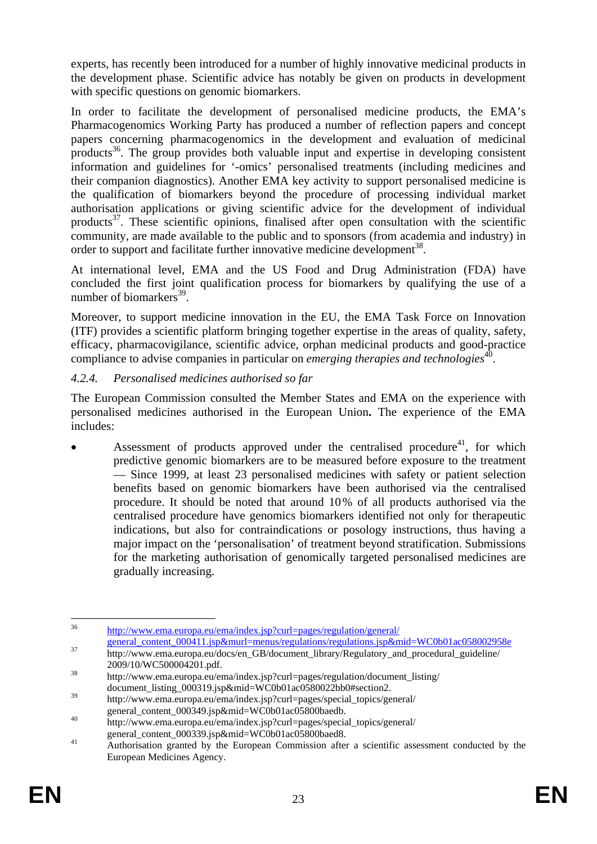experts, has recently been introduced for a number of highly innovative medicinal products in the development phase. Scientific advice has notably be given on products in development with specific questions on genomic biomarkers.

In order to facilitate the development of personalised medicine products, the EMA's Pharmacogenomics Working Party has produced a number of reflection papers and concept papers concerning pharmacogenomics in the development and evaluation of medicinal products<sup>36</sup>. The group provides both valuable input and expertise in developing consistent information and guidelines for '-omics' personalised treatments (including medicines and their companion diagnostics). Another EMA key activity to support personalised medicine is the qualification of biomarkers beyond the procedure of processing individual market authorisation applications or giving scientific advice for the development of individual products<sup>37</sup>. These scientific opinions, finalised after open consultation with the scientific community, are made available to the public and to sponsors (from academia and industry) in order to support and facilitate further innovative medicine development<sup>38</sup>.

At international level, EMA and the US Food and Drug Administration (FDA) have concluded the first joint qualification process for biomarkers by qualifying the use of a number of biomarkers $^{39}$ .

Moreover, to support medicine innovation in the EU, the EMA Task Force on Innovation (ITF) provides a scientific platform bringing together expertise in the areas of quality, safety, efficacy, pharmacovigilance, scientific advice, orphan medicinal products and good-practice compliance to advise companies in particular on *emerging therapies and technologies*<sup>40</sup>.

#### <span id="page-22-0"></span>*4.2.4. Personalised medicines authorised so far*

The European Commission consulted the Member States and EMA on the experience with personalised medicines authorised in the European Union**.** The experience of the EMA includes:

Assessment of products approved under the centralised procedure<sup>41</sup>, for which predictive genomic biomarkers are to be measured before exposure to the treatment — Since 1999, at least 23 personalised medicines with safety or patient selection benefits based on genomic biomarkers have been authorised via the centralised procedure. It should be noted that around 10% of all products authorised via the centralised procedure have genomics biomarkers identified not only for therapeutic indications, but also for contraindications or posology instructions, thus having a major impact on the 'personalisation' of treatment beyond stratification. Submissions for the marketing authorisation of genomically targeted personalised medicines are gradually increasing.

 $36$ http://www.ema.europa.eu/ema/index.jsp?curl=pages/regulation/general/<br>general\_content\_000411.jsp&murl=menus/regulations/regulations.jsp&mid=WC0b01ac058002958e

<sup>37</sup> http://www.ema.europa.eu/docs/en\_GB/document\_library/Regulatory\_and\_procedural\_guideline/

<sup>2009/10/</sup>WC500004201.pdf.<br>
http://www.ema.europa.eu/ema/index.jsp?curl=pages/regulation/document\_listing/ document\_listing\_000319.jsp&mid=WC0b01ac0580022bb0#section2.

<sup>&</sup>lt;sup>39</sup> http://www.ema.europa.eu/ema/index.jsp?curl=pages/special\_topics/general/<br>general\_content\_000349.jsp&mid=WC0b01ac05800baedb.

 $\frac{1}{200}$  http://www.ema.europa.eu/ema/index.jsp?curl=pages/special\_topics/general/

general\_content\_000339.jsp&mid=WC0b01ac05800baed8.<br>Authorisation granted by the European Commission after a scientific assessment conducted by the European Medicines Agency.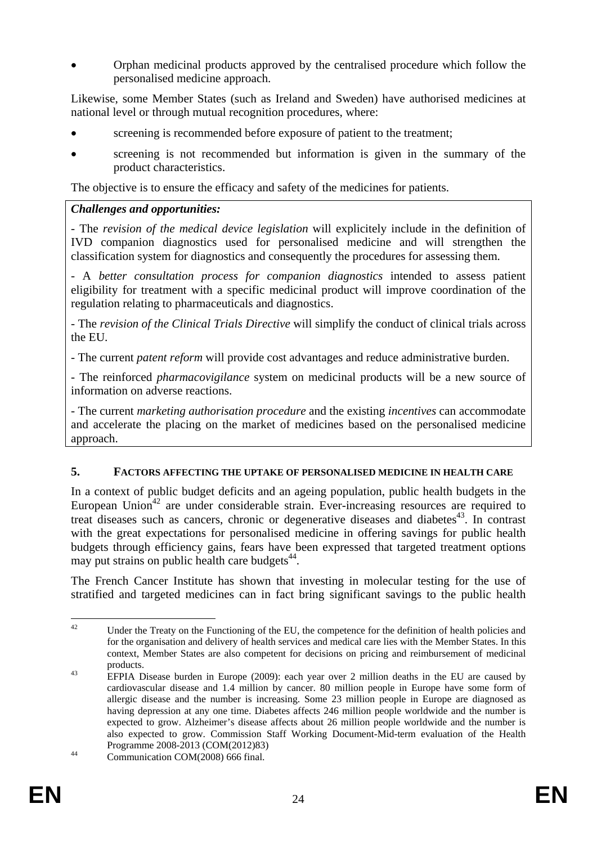• Orphan medicinal products approved by the centralised procedure which follow the personalised medicine approach.

Likewise, some Member States (such as Ireland and Sweden) have authorised medicines at national level or through mutual recognition procedures, where:

- screening is recommended before exposure of patient to the treatment;
- screening is not recommended but information is given in the summary of the product characteristics.

The objective is to ensure the efficacy and safety of the medicines for patients.

#### *Challenges and opportunities:*

- The *revision of the medical device legislation* will explicitely include in the definition of IVD companion diagnostics used for personalised medicine and will strengthen the classification system for diagnostics and consequently the procedures for assessing them.

- A *better consultation process for companion diagnostics* intended to assess patient eligibility for treatment with a specific medicinal product will improve coordination of the regulation relating to pharmaceuticals and diagnostics.

- The *revision of the Clinical Trials Directive* will simplify the conduct of clinical trials across the EU.

- The current *patent reform* will provide cost advantages and reduce administrative burden.

- The reinforced *pharmacovigilance* system on medicinal products will be a new source of information on adverse reactions.

- The current *marketing authorisation procedure* and the existing *incentives* can accommodate and accelerate the placing on the market of medicines based on the personalised medicine approach.

#### <span id="page-23-0"></span>**5. FACTORS AFFECTING THE UPTAKE OF PERSONALISED MEDICINE IN HEALTH CARE**

In a context of public budget deficits and an ageing population, public health budgets in the European Union<sup>42</sup> are under considerable strain. Ever-increasing resources are required to treat diseases such as cancers, chronic or degenerative diseases and diabetes<sup>43</sup>. In contrast with the great expectations for personalised medicine in offering savings for public health budgets through efficiency gains, fears have been expressed that targeted treatment options may put strains on public health care budgets $44$ .

The French Cancer Institute has shown that investing in molecular testing for the use of stratified and targeted medicines can in fact bring significant savings to the public health

 $42$ Under the Treaty on the Functioning of the EU, the competence for the definition of health policies and for the organisation and delivery of health services and medical care lies with the Member States. In this context, Member States are also competent for decisions on pricing and reimbursement of medicinal

products. 43 EFPIA Disease burden in Europe (2009): each year over 2 million deaths in the EU are caused by cardiovascular disease and 1.4 million by cancer. 80 million people in Europe have some form of allergic disease and the number is increasing. Some 23 million people in Europe are diagnosed as having depression at any one time. Diabetes affects 246 million people worldwide and the number is expected to grow. Alzheimer's disease affects about 26 million people worldwide and the number is also expected to grow. Commission Staff Working Document-Mid-term evaluation of the Health Programme 2008-2013 (COM(2012)83) 44 Communication COM(2008) 666 final.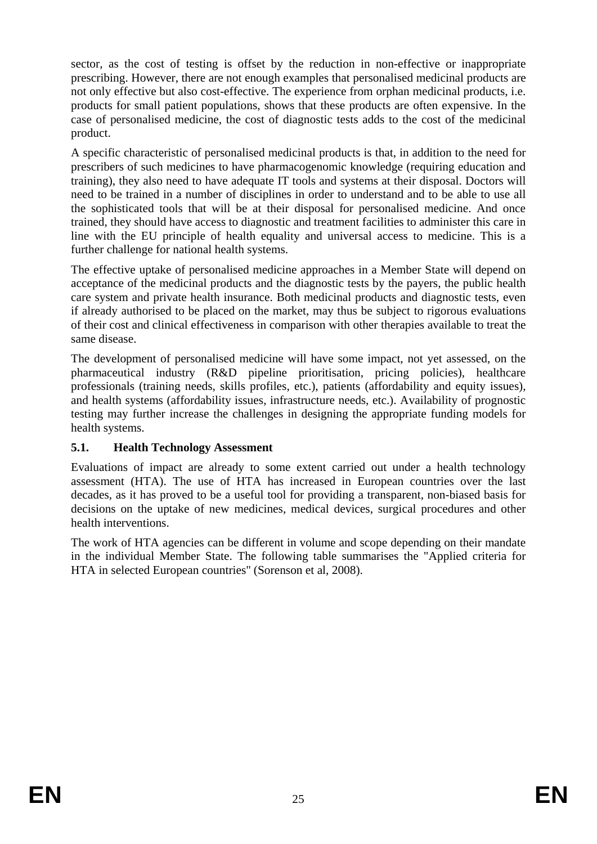sector, as the cost of testing is offset by the reduction in non-effective or inappropriate prescribing. However, there are not enough examples that personalised medicinal products are not only effective but also cost-effective. The experience from orphan medicinal products, i.e. products for small patient populations, shows that these products are often expensive. In the case of personalised medicine, the cost of diagnostic tests adds to the cost of the medicinal product.

A specific characteristic of personalised medicinal products is that, in addition to the need for prescribers of such medicines to have pharmacogenomic knowledge (requiring education and training), they also need to have adequate IT tools and systems at their disposal. Doctors will need to be trained in a number of disciplines in order to understand and to be able to use all the sophisticated tools that will be at their disposal for personalised medicine. And once trained, they should have access to diagnostic and treatment facilities to administer this care in line with the EU principle of health equality and universal access to medicine. This is a further challenge for national health systems.

The effective uptake of personalised medicine approaches in a Member State will depend on acceptance of the medicinal products and the diagnostic tests by the payers, the public health care system and private health insurance. Both medicinal products and diagnostic tests, even if already authorised to be placed on the market, may thus be subject to rigorous evaluations of their cost and clinical effectiveness in comparison with other therapies available to treat the same disease.

The development of personalised medicine will have some impact, not yet assessed, on the pharmaceutical industry (R&D pipeline prioritisation, pricing policies), healthcare professionals (training needs, skills profiles, etc.), patients (affordability and equity issues), and health systems (affordability issues, infrastructure needs, etc.). Availability of prognostic testing may further increase the challenges in designing the appropriate funding models for health systems.

## <span id="page-24-0"></span>**5.1. Health Technology Assessment**

Evaluations of impact are already to some extent carried out under a health technology assessment (HTA). The use of HTA has increased in European countries over the last decades, as it has proved to be a useful tool for providing a transparent, non-biased basis for decisions on the uptake of new medicines, medical devices, surgical procedures and other health interventions.

The work of HTA agencies can be different in volume and scope depending on their mandate in the individual Member State. The following table summarises the "Applied criteria for HTA in selected European countries" (Sorenson et al, 2008).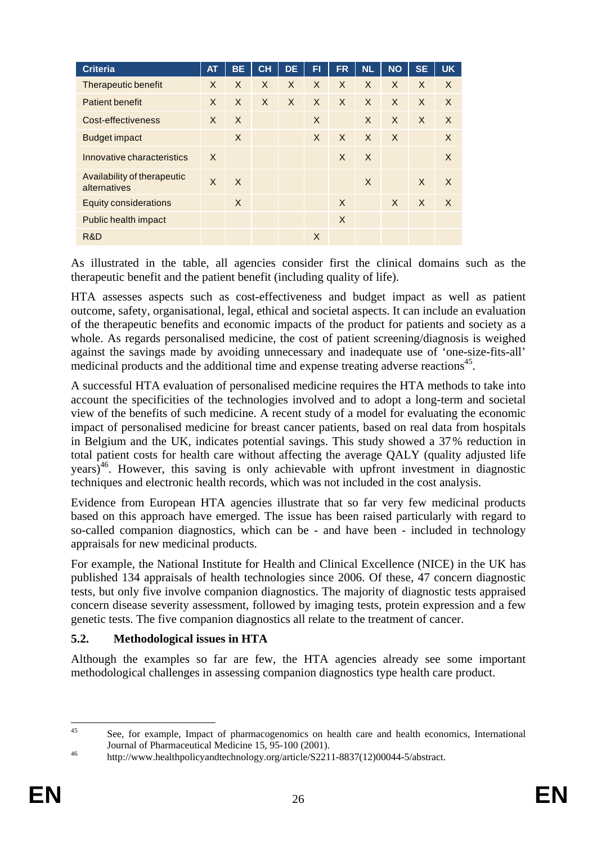| <b>Criteria</b>                             | <b>AT</b> | <b>BE</b> | CH           | <b>DE</b> | FI       | <b>FR</b>    | <b>NL</b>    | <b>NO</b>    | <b>SE</b> | <b>UK</b> |
|---------------------------------------------|-----------|-----------|--------------|-----------|----------|--------------|--------------|--------------|-----------|-----------|
| Therapeutic benefit                         | $\times$  | X         | $\mathsf{X}$ | $\times$  | $\times$ | $\times$     | $\times$     | $\mathsf{X}$ | X         | $\times$  |
| <b>Patient benefit</b>                      | X         | $\times$  | $\times$     | X         | $\times$ | $\times$     | $\times$     | X            | X         | $\times$  |
| Cost-effectiveness                          | X         | X         |              |           | X        |              | $\mathsf{X}$ | $\mathsf{X}$ | X         | $\times$  |
| <b>Budget impact</b>                        |           | X         |              |           | X        | $\mathsf{X}$ | $\times$     | $\times$     |           | X         |
| Innovative characteristics                  | $\times$  |           |              |           |          | X            | $\times$     |              |           | X         |
| Availability of therapeutic<br>alternatives | X         | $\times$  |              |           |          |              | X            |              | X         | $\times$  |
| <b>Equity considerations</b>                |           | X         |              |           |          | $\sf X$      |              | $\times$     | $\sf X$   | $\times$  |
| Public health impact                        |           |           |              |           |          | $\times$     |              |              |           |           |
| R&D                                         |           |           |              |           | X        |              |              |              |           |           |

As illustrated in the table, all agencies consider first the clinical domains such as the therapeutic benefit and the patient benefit (including quality of life).

HTA assesses aspects such as cost-effectiveness and budget impact as well as patient outcome, safety, organisational, legal, ethical and societal aspects. It can include an evaluation of the therapeutic benefits and economic impacts of the product for patients and society as a whole. As regards personalised medicine, the cost of patient screening/diagnosis is weighed against the savings made by avoiding unnecessary and inadequate use of 'one-size-fits-all' medicinal products and the additional time and expense treating adverse reactions<sup>45</sup>.

A successful HTA evaluation of personalised medicine requires the HTA methods to take into account the specificities of the technologies involved and to adopt a long-term and societal view of the benefits of such medicine. A recent study of a model for evaluating the economic impact of personalised medicine for breast cancer patients, based on real data from hospitals in Belgium and the UK, indicates potential savings. This study showed a 37% reduction in total patient costs for health care without affecting the average QALY (quality adjusted life years)<sup>46</sup>. However, this saving is only achievable with upfront investment in diagnostic techniques and electronic health records, which was not included in the cost analysis.

Evidence from European HTA agencies illustrate that so far very few medicinal products based on this approach have emerged. The issue has been raised particularly with regard to so-called companion diagnostics, which can be - and have been - included in technology appraisals for new medicinal products.

For example, the National Institute for Health and Clinical Excellence (NICE) in the UK has published 134 appraisals of health technologies since 2006. Of these, 47 concern diagnostic tests, but only five involve companion diagnostics. The majority of diagnostic tests appraised concern disease severity assessment, followed by imaging tests, protein expression and a few genetic tests. The five companion diagnostics all relate to the treatment of cancer.

#### <span id="page-25-0"></span>**5.2. Methodological issues in HTA**

Although the examples so far are few, the HTA agencies already see some important methodological challenges in assessing companion diagnostics type health care product.

 $45$ See, for example, Impact of pharmacogenomics on health care and health economics, International Journal of Pharmaceutical Medicine 15, 95-100 (2001).<br>
http://www.healthpolicyandtechnology.org/article/S2211-8837(12)00044-5/abstract.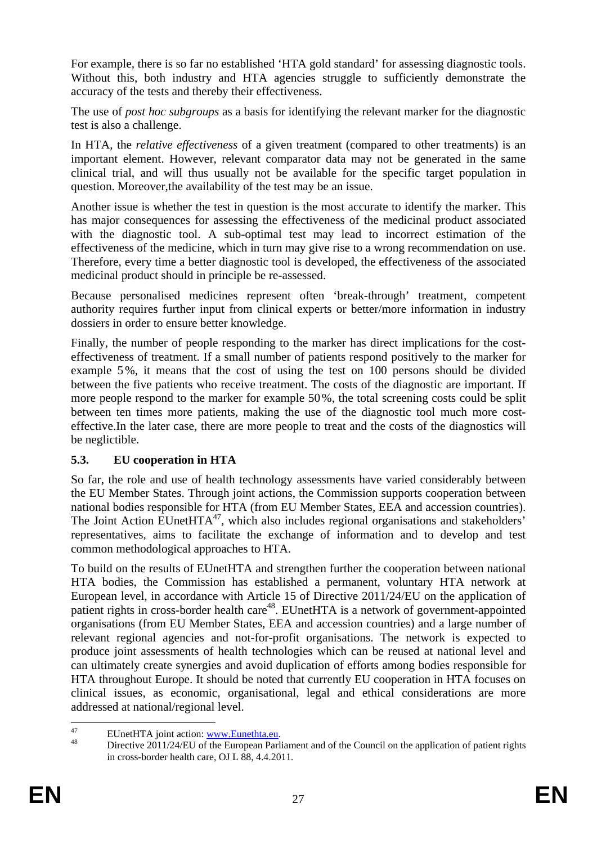For example, there is so far no established 'HTA gold standard' for assessing diagnostic tools. Without this, both industry and HTA agencies struggle to sufficiently demonstrate the accuracy of the tests and thereby their effectiveness.

The use of *post hoc subgroups* as a basis for identifying the relevant marker for the diagnostic test is also a challenge.

In HTA, the *relative effectiveness* of a given treatment (compared to other treatments) is an important element. However, relevant comparator data may not be generated in the same clinical trial, and will thus usually not be available for the specific target population in question. Moreover,the availability of the test may be an issue.

Another issue is whether the test in question is the most accurate to identify the marker. This has major consequences for assessing the effectiveness of the medicinal product associated with the diagnostic tool. A sub-optimal test may lead to incorrect estimation of the effectiveness of the medicine, which in turn may give rise to a wrong recommendation on use. Therefore, every time a better diagnostic tool is developed, the effectiveness of the associated medicinal product should in principle be re-assessed.

Because personalised medicines represent often 'break-through' treatment, competent authority requires further input from clinical experts or better/more information in industry dossiers in order to ensure better knowledge.

Finally, the number of people responding to the marker has direct implications for the costeffectiveness of treatment. If a small number of patients respond positively to the marker for example 5%, it means that the cost of using the test on 100 persons should be divided between the five patients who receive treatment. The costs of the diagnostic are important. If more people respond to the marker for example 50%, the total screening costs could be split between ten times more patients, making the use of the diagnostic tool much more costeffective.In the later case, there are more people to treat and the costs of the diagnostics will be neglictible.

#### <span id="page-26-0"></span>**5.3. EU cooperation in HTA**

So far, the role and use of health technology assessments have varied considerably between the EU Member States. Through joint actions, the Commission supports cooperation between national bodies responsible for HTA (from EU Member States, EEA and accession countries). The Joint Action EUnetHTA<sup>47</sup>, which also includes regional organisations and stakeholders' representatives, aims to facilitate the exchange of information and to develop and test common methodological approaches to HTA.

To build on the results of EUnetHTA and strengthen further the cooperation between national HTA bodies, the Commission has established a permanent, voluntary HTA network at European level, in accordance with Article 15 of Directive 2011/24/EU on the application of patient rights in cross-border health care<sup>48</sup>. EUnetHTA is a network of government-appointed organisations (from EU Member States, EEA and accession countries) and a large number of relevant regional agencies and not-for-profit organisations. The network is expected to produce joint assessments of health technologies which can be reused at national level and can ultimately create synergies and avoid duplication of efforts among bodies responsible for HTA throughout Europe. It should be noted that currently EU cooperation in HTA focuses on clinical issues, as economic, organisational, legal and ethical considerations are more addressed at national/regional level.

<sup>47</sup> 

<sup>&</sup>lt;sup>47</sup> EUnetHTA joint action: www.Eunethta.eu.<br><sup>48</sup> Directive 2011/24/EU [of the European Parli](http://www.eunethta.eu/)ament and of the Council on the application of patient rights in cross-border health care, OJ L 88, 4.4.2011*.*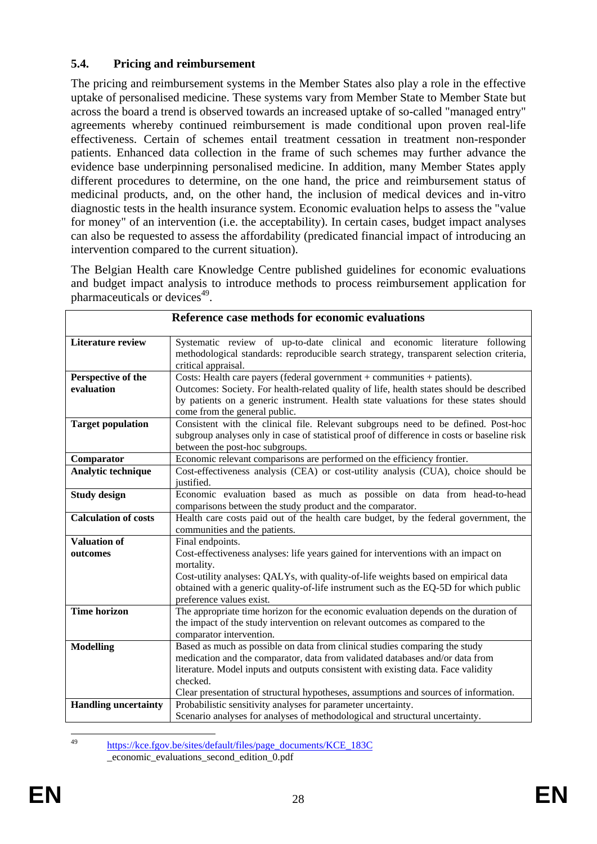#### <span id="page-27-0"></span>**5.4. Pricing and reimbursement**

The pricing and reimbursement systems in the Member States also play a role in the effective uptake of personalised medicine. These systems vary from Member State to Member State but across the board a trend is observed towards an increased uptake of so-called "managed entry" agreements whereby continued reimbursement is made conditional upon proven real-life effectiveness. Certain of schemes entail treatment cessation in treatment non-responder patients. Enhanced data collection in the frame of such schemes may further advance the evidence base underpinning personalised medicine. In addition, many Member States apply different procedures to determine, on the one hand, the price and reimbursement status of medicinal products, and, on the other hand, the inclusion of medical devices and in-vitro diagnostic tests in the health insurance system. Economic evaluation helps to assess the "value for money" of an intervention (i.e. the acceptability). In certain cases, budget impact analyses can also be requested to assess the affordability (predicated financial impact of introducing an intervention compared to the current situation).

The Belgian Health care Knowledge Centre published guidelines for economic evaluations and budget impact analysis to introduce methods to process reimbursement application for pharmaceuticals or devices $49$ .

|                             | Reference case methods for economic evaluations                                                                                                                             |
|-----------------------------|-----------------------------------------------------------------------------------------------------------------------------------------------------------------------------|
| <b>Literature review</b>    | Systematic review of up-to-date clinical and economic literature following                                                                                                  |
|                             | methodological standards: reproducible search strategy, transparent selection criteria,<br>critical appraisal.                                                              |
| Perspective of the          | Costs: Health care payers (federal government $+$ communities $+$ patients).                                                                                                |
| evaluation                  | Outcomes: Society. For health-related quality of life, health states should be described                                                                                    |
|                             | by patients on a generic instrument. Health state valuations for these states should                                                                                        |
|                             | come from the general public.                                                                                                                                               |
| <b>Target population</b>    | Consistent with the clinical file. Relevant subgroups need to be defined. Post-hoc                                                                                          |
|                             | subgroup analyses only in case of statistical proof of difference in costs or baseline risk                                                                                 |
|                             | between the post-hoc subgroups.                                                                                                                                             |
| Comparator                  | Economic relevant comparisons are performed on the efficiency frontier.                                                                                                     |
| Analytic technique          | Cost-effectiveness analysis (CEA) or cost-utility analysis (CUA), choice should be                                                                                          |
|                             | justified.                                                                                                                                                                  |
| <b>Study design</b>         | Economic evaluation based as much as possible on data from head-to-head                                                                                                     |
|                             | comparisons between the study product and the comparator.                                                                                                                   |
| <b>Calculation of costs</b> | Health care costs paid out of the health care budget, by the federal government, the                                                                                        |
|                             | communities and the patients.                                                                                                                                               |
| <b>Valuation of</b>         | Final endpoints.                                                                                                                                                            |
| outcomes                    | Cost-effectiveness analyses: life years gained for interventions with an impact on                                                                                          |
|                             | mortality.                                                                                                                                                                  |
|                             | Cost-utility analyses: QALYs, with quality-of-life weights based on empirical data<br>obtained with a generic quality-of-life instrument such as the EQ-5D for which public |
|                             | preference values exist.                                                                                                                                                    |
| <b>Time horizon</b>         | The appropriate time horizon for the economic evaluation depends on the duration of                                                                                         |
|                             | the impact of the study intervention on relevant outcomes as compared to the                                                                                                |
|                             | comparator intervention.                                                                                                                                                    |
| <b>Modelling</b>            | Based as much as possible on data from clinical studies comparing the study                                                                                                 |
|                             | medication and the comparator, data from validated databases and/or data from                                                                                               |
|                             | literature. Model inputs and outputs consistent with existing data. Face validity                                                                                           |
|                             | checked.                                                                                                                                                                    |
|                             | Clear presentation of structural hypotheses, assumptions and sources of information.                                                                                        |
| <b>Handling uncertainty</b> | Probabilistic sensitivity analyses for parameter uncertainty.                                                                                                               |
|                             | Scenario analyses for analyses of methodological and structural uncertainty.                                                                                                |

**Reference case methods for economic evaluations** 

 $\overline{AQ}$ https://kce.fgov.be/sites/default/files/page\_documents/KCE\_183C \_economic\_evaluations\_second\_edition\_0.pdf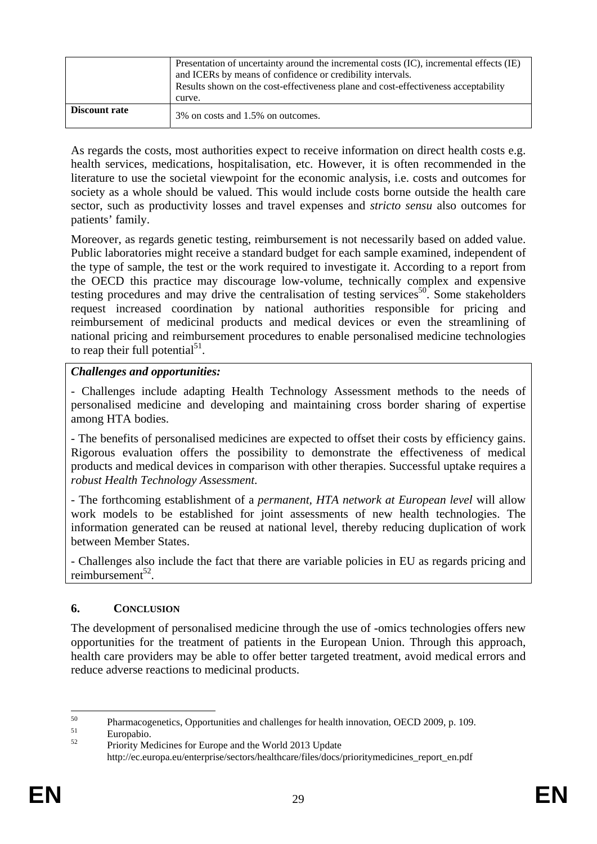|               | Presentation of uncertainty around the incremental costs (IC), incremental effects (IE)<br>and ICERs by means of confidence or credibility intervals.<br>Results shown on the cost-effectiveness plane and cost-effectiveness acceptability |
|---------------|---------------------------------------------------------------------------------------------------------------------------------------------------------------------------------------------------------------------------------------------|
|               |                                                                                                                                                                                                                                             |
|               | curve.                                                                                                                                                                                                                                      |
| Discount rate | 3% on costs and 1.5% on outcomes.                                                                                                                                                                                                           |

As regards the costs, most authorities expect to receive information on direct health costs e.g. health services, medications, hospitalisation, etc. However, it is often recommended in the literature to use the societal viewpoint for the economic analysis, i.e. costs and outcomes for society as a whole should be valued. This would include costs borne outside the health care sector, such as productivity losses and travel expenses and *stricto sensu* also outcomes for patients' family.

Moreover, as regards genetic testing, reimbursement is not necessarily based on added value. Public laboratories might receive a standard budget for each sample examined, independent of the type of sample, the test or the work required to investigate it. According to a report from the OECD this practice may discourage low-volume, technically complex and expensive testing procedures and may drive the centralisation of testing services<sup>50</sup>. Some stakeholders request increased coordination by national authorities responsible for pricing and reimbursement of medicinal products and medical devices or even the streamlining of national pricing and reimbursement procedures to enable personalised medicine technologies to reap their full potential<sup>51</sup>.

#### *Challenges and opportunities:*

- Challenges include adapting Health Technology Assessment methods to the needs of personalised medicine and developing and maintaining cross border sharing of expertise among HTA bodies.

- The benefits of personalised medicines are expected to offset their costs by efficiency gains. Rigorous evaluation offers the possibility to demonstrate the effectiveness of medical products and medical devices in comparison with other therapies. Successful uptake requires a *robust Health Technology Assessment*.

- The forthcoming establishment of a *permanent, HTA network at European level* will allow work models to be established for joint assessments of new health technologies. The information generated can be reused at national level, thereby reducing duplication of work between Member States.

- Challenges also include the fact that there are variable policies in EU as regards pricing and reimbursement $52$ .

#### <span id="page-28-0"></span>**6. CONCLUSION**

The development of personalised medicine through the use of -omics technologies offers new opportunities for the treatment of patients in the European Union. Through this approach, health care providers may be able to offer better targeted treatment, avoid medical errors and reduce adverse reactions to medicinal products.

 $50$  $^{50}$  Pharmacogenetics, Opportunities and challenges for health innovation, OECD 2009, p. 109.

 $\frac{51}{52}$  Europabio.

<sup>52</sup> Priority Medicines for Europe and the World 2013 Update http://ec.europa.eu/enterprise/sectors/healthcare/files/docs/prioritymedicines\_report\_en.pdf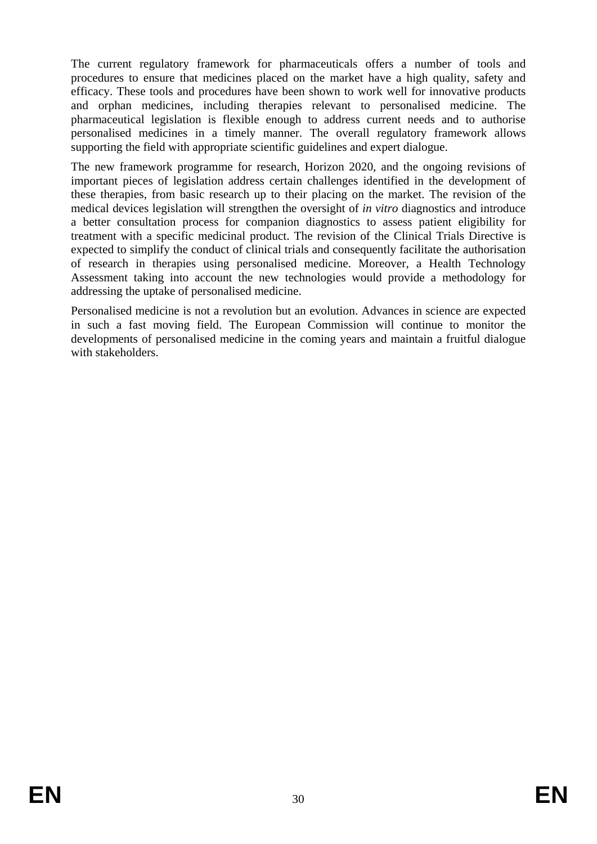The current regulatory framework for pharmaceuticals offers a number of tools and procedures to ensure that medicines placed on the market have a high quality, safety and efficacy. These tools and procedures have been shown to work well for innovative products and orphan medicines, including therapies relevant to personalised medicine. The pharmaceutical legislation is flexible enough to address current needs and to authorise personalised medicines in a timely manner. The overall regulatory framework allows supporting the field with appropriate scientific guidelines and expert dialogue.

The new framework programme for research, Horizon 2020, and the ongoing revisions of important pieces of legislation address certain challenges identified in the development of these therapies, from basic research up to their placing on the market. The revision of the medical devices legislation will strengthen the oversight of *in vitro* diagnostics and introduce a better consultation process for companion diagnostics to assess patient eligibility for treatment with a specific medicinal product. The revision of the Clinical Trials Directive is expected to simplify the conduct of clinical trials and consequently facilitate the authorisation of research in therapies using personalised medicine. Moreover, a Health Technology Assessment taking into account the new technologies would provide a methodology for addressing the uptake of personalised medicine.

Personalised medicine is not a revolution but an evolution. Advances in science are expected in such a fast moving field. The European Commission will continue to monitor the developments of personalised medicine in the coming years and maintain a fruitful dialogue with stakeholders.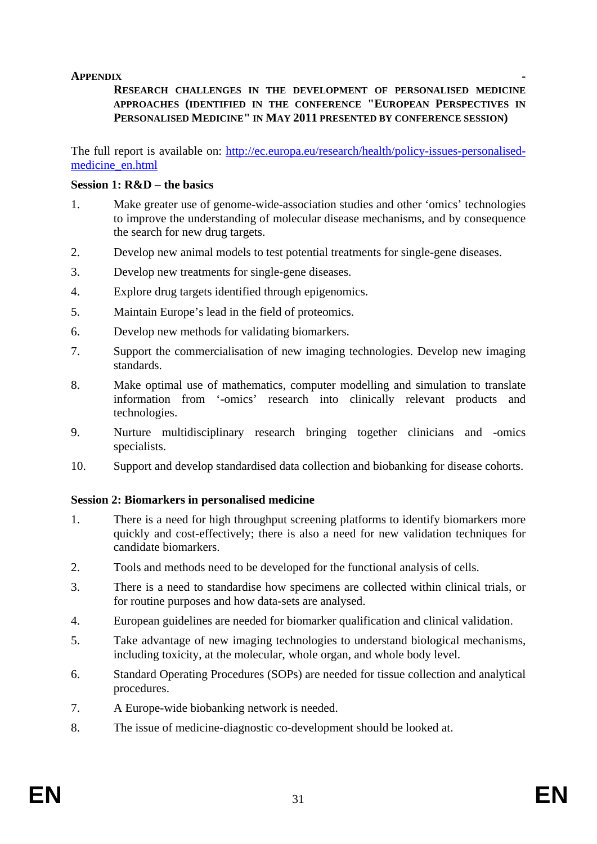#### <span id="page-30-0"></span>**APPENDIX -**

#### **RESEARCH CHALLENGES IN THE DEVELOPMENT OF PERSONALISED MEDICINE APPROACHES (IDENTIFIED IN THE CONFERENCE "EUROPEAN PERSPECTIVES IN PERSONALISED MEDICINE" IN MAY 2011 PRESENTED BY CONFERENCE SESSION)**

The full report is available on[: http://ec.europa.eu/research/health/policy-issues-personalised](http://ec.europa.eu/research/health/policy-issues-personalised-medicine_en.html)[medicine\\_en.html](http://ec.europa.eu/research/health/policy-issues-personalised-medicine_en.html)

#### **Session 1: R&D – the basics**

- 1. Make greater use of genome-wide-association studies and other 'omics' technologies to improve the understanding of molecular disease mechanisms, and by consequence the search for new drug targets.
- 2. Develop new animal models to test potential treatments for single-gene diseases.
- 3. Develop new treatments for single-gene diseases.
- 4. Explore drug targets identified through epigenomics.
- 5. Maintain Europe's lead in the field of proteomics.
- 6. Develop new methods for validating biomarkers.
- 7. Support the commercialisation of new imaging technologies. Develop new imaging standards.
- 8. Make optimal use of mathematics, computer modelling and simulation to translate information from '-omics' research into clinically relevant products and technologies.
- 9. Nurture multidisciplinary research bringing together clinicians and -omics specialists.
- 10. Support and develop standardised data collection and biobanking for disease cohorts.

#### **Session 2: Biomarkers in personalised medicine**

- 1. There is a need for high throughput screening platforms to identify biomarkers more quickly and cost-effectively; there is also a need for new validation techniques for candidate biomarkers.
- 2. Tools and methods need to be developed for the functional analysis of cells.
- 3. There is a need to standardise how specimens are collected within clinical trials, or for routine purposes and how data-sets are analysed.
- 4. European guidelines are needed for biomarker qualification and clinical validation.
- 5. Take advantage of new imaging technologies to understand biological mechanisms, including toxicity, at the molecular, whole organ, and whole body level.
- 6. Standard Operating Procedures (SOPs) are needed for tissue collection and analytical procedures.
- 7. A Europe-wide biobanking network is needed.
- 8. The issue of medicine-diagnostic co-development should be looked at.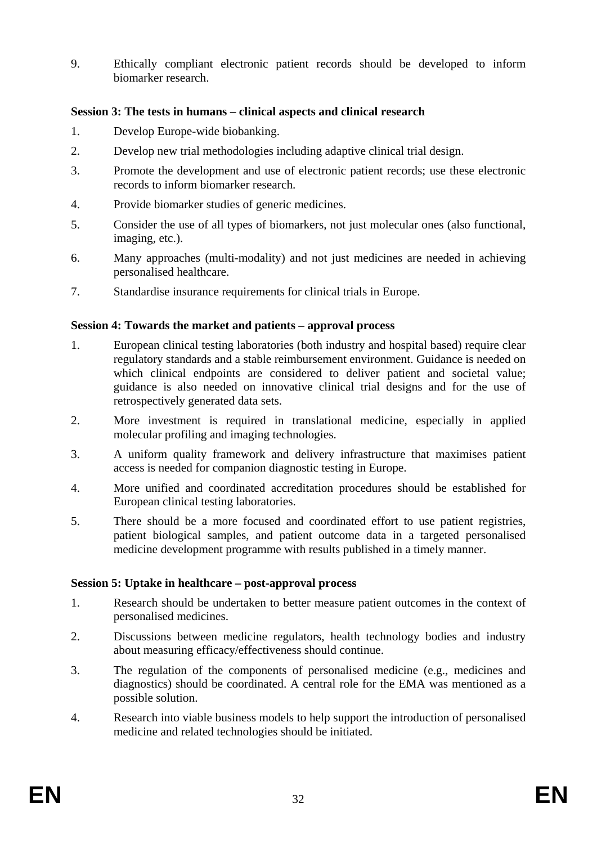9. Ethically compliant electronic patient records should be developed to inform biomarker research.

#### **Session 3: The tests in humans – clinical aspects and clinical research**

- 1. Develop Europe-wide biobanking.
- 2. Develop new trial methodologies including adaptive clinical trial design.
- 3. Promote the development and use of electronic patient records; use these electronic records to inform biomarker research.
- 4. Provide biomarker studies of generic medicines.
- 5. Consider the use of all types of biomarkers, not just molecular ones (also functional, imaging, etc.).
- 6. Many approaches (multi-modality) and not just medicines are needed in achieving personalised healthcare.
- 7. Standardise insurance requirements for clinical trials in Europe.

#### **Session 4: Towards the market and patients – approval process**

- 1. European clinical testing laboratories (both industry and hospital based) require clear regulatory standards and a stable reimbursement environment. Guidance is needed on which clinical endpoints are considered to deliver patient and societal value; guidance is also needed on innovative clinical trial designs and for the use of retrospectively generated data sets.
- 2. More investment is required in translational medicine, especially in applied molecular profiling and imaging technologies.
- 3. A uniform quality framework and delivery infrastructure that maximises patient access is needed for companion diagnostic testing in Europe.
- 4. More unified and coordinated accreditation procedures should be established for European clinical testing laboratories.
- 5. There should be a more focused and coordinated effort to use patient registries, patient biological samples, and patient outcome data in a targeted personalised medicine development programme with results published in a timely manner.

#### **Session 5: Uptake in healthcare – post-approval process**

- 1. Research should be undertaken to better measure patient outcomes in the context of personalised medicines.
- 2. Discussions between medicine regulators, health technology bodies and industry about measuring efficacy/effectiveness should continue.
- 3. The regulation of the components of personalised medicine (e.g., medicines and diagnostics) should be coordinated. A central role for the EMA was mentioned as a possible solution.
- 4. Research into viable business models to help support the introduction of personalised medicine and related technologies should be initiated.